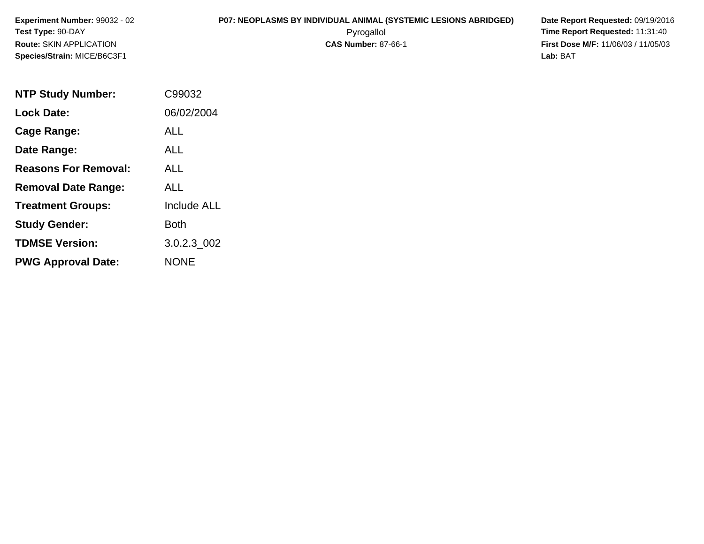# **P07: NEOPLASMS BY INDIVIDUAL ANIMAL (SYSTEMIC LESIONS ABRIDGED) Date Report Requested:** 09/19/2016

 Pyrogallol **Time Report Requested:** 11:31:40 **First Dose M/F:** 11/06/03 / 11/05/03<br>**Lab:** BAT **Lab:** BAT

| <b>NTP Study Number:</b>    | C99032             |
|-----------------------------|--------------------|
| <b>Lock Date:</b>           | 06/02/2004         |
| Cage Range:                 | ALL                |
| Date Range:                 | <b>ALL</b>         |
| <b>Reasons For Removal:</b> | AI I               |
| <b>Removal Date Range:</b>  | ALL                |
| <b>Treatment Groups:</b>    | <b>Include ALL</b> |
| <b>Study Gender:</b>        | Both               |
| <b>TDMSE Version:</b>       | 3.0.2.3 002        |
| <b>PWG Approval Date:</b>   | NONE               |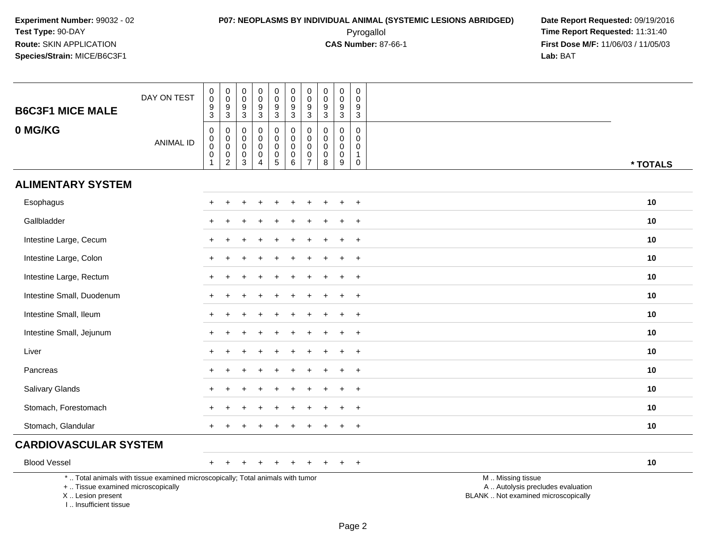# **P07: NEOPLASMS BY INDIVIDUAL ANIMAL (SYSTEMIC LESIONS ABRIDGED) Date Report Requested:** 09/19/2016 Pyrogallol **Time Report Requested:** 11:31:40

| <b>B6C3F1 MICE MALE</b>                                                         | DAY ON TEST                                                                     | $\pmb{0}$<br>0<br>$\boldsymbol{9}$<br>3                      | $\begin{smallmatrix} 0\\0 \end{smallmatrix}$<br>$\frac{9}{3}$               | $\mathsf 0$<br>$\mathbf 0$<br>9<br>$\mathbf{3}$               | $\mathbf 0$<br>$\mathbf 0$<br>$9\,$<br>$\mathbf{3}$           | $\pmb{0}$<br>$\mathbf 0$<br>$\boldsymbol{9}$<br>3 | $\pmb{0}$<br>$\mathbf 0$<br>$9\,$<br>$\mathbf{3}$              | $\pmb{0}$<br>$\mathbf 0$<br>$\boldsymbol{9}$<br>$\sqrt{3}$           | $\mathsf 0$<br>$\mathbf 0$<br>$\boldsymbol{9}$<br>$\mathbf{3}$ | $\mathbf 0$<br>0<br>$\boldsymbol{9}$<br>$\mathbf{3}$ | $\mathbf 0$<br>$\mathbf 0$<br>9<br>$\sqrt{3}$                            |                                                                                               |          |
|---------------------------------------------------------------------------------|---------------------------------------------------------------------------------|--------------------------------------------------------------|-----------------------------------------------------------------------------|---------------------------------------------------------------|---------------------------------------------------------------|---------------------------------------------------|----------------------------------------------------------------|----------------------------------------------------------------------|----------------------------------------------------------------|------------------------------------------------------|--------------------------------------------------------------------------|-----------------------------------------------------------------------------------------------|----------|
| 0 MG/KG                                                                         | <b>ANIMAL ID</b>                                                                | $\pmb{0}$<br>$\mathbf 0$<br>$\mathsf 0$<br>0<br>$\mathbf{1}$ | $\pmb{0}$<br>$\overline{0}$<br>$\begin{smallmatrix} 0\\2 \end{smallmatrix}$ | $\Omega$<br>$\mathbf 0$<br>$\mathbf 0$<br>0<br>$\mathfrak{S}$ | $\Omega$<br>$\mathbf 0$<br>$\mathbf 0$<br>0<br>$\overline{4}$ | $\mathbf 0$<br>0<br>$\mathsf 0$<br>$\pmb{0}$<br>5 | $\pmb{0}$<br>$\mathbf 0$<br>$\mathbf 0$<br>0<br>$6\phantom{a}$ | $\mathbf 0$<br>$\pmb{0}$<br>$\pmb{0}$<br>$\pmb{0}$<br>$\overline{7}$ | $\mathbf 0$<br>$\mathbf 0$<br>$\mathbf 0$<br>0<br>8            | $\mathbf 0$<br>$\mathbf 0$<br>$\mathbf 0$<br>0<br>9  | $\mathbf 0$<br>$\mathbf 0$<br>$\mathbf 0$<br>$\mathbf{1}$<br>$\mathbf 0$ |                                                                                               | * TOTALS |
| <b>ALIMENTARY SYSTEM</b>                                                        |                                                                                 |                                                              |                                                                             |                                                               |                                                               |                                                   |                                                                |                                                                      |                                                                |                                                      |                                                                          |                                                                                               |          |
| Esophagus                                                                       |                                                                                 |                                                              |                                                                             |                                                               |                                                               |                                                   |                                                                |                                                                      |                                                                |                                                      | $\ddot{}$                                                                |                                                                                               | 10       |
| Gallbladder                                                                     |                                                                                 |                                                              |                                                                             |                                                               |                                                               |                                                   |                                                                |                                                                      |                                                                |                                                      | $\ddot{}$                                                                |                                                                                               | 10       |
| Intestine Large, Cecum                                                          |                                                                                 |                                                              |                                                                             |                                                               |                                                               |                                                   |                                                                |                                                                      |                                                                |                                                      | $+$                                                                      |                                                                                               | 10       |
| Intestine Large, Colon                                                          |                                                                                 | $\pm$                                                        |                                                                             |                                                               |                                                               |                                                   |                                                                |                                                                      |                                                                | ÷                                                    | $+$                                                                      |                                                                                               | 10       |
| Intestine Large, Rectum                                                         |                                                                                 |                                                              |                                                                             |                                                               |                                                               |                                                   |                                                                |                                                                      |                                                                |                                                      | $\ddot{}$                                                                |                                                                                               | 10       |
| Intestine Small, Duodenum                                                       |                                                                                 |                                                              |                                                                             |                                                               |                                                               |                                                   |                                                                |                                                                      |                                                                |                                                      | $\overline{+}$                                                           |                                                                                               | 10       |
| Intestine Small, Ileum                                                          |                                                                                 |                                                              |                                                                             |                                                               |                                                               |                                                   |                                                                |                                                                      |                                                                |                                                      | $+$                                                                      |                                                                                               | 10       |
| Intestine Small, Jejunum                                                        |                                                                                 |                                                              |                                                                             |                                                               |                                                               |                                                   |                                                                |                                                                      |                                                                |                                                      | $\ddot{}$                                                                |                                                                                               | 10       |
| Liver                                                                           |                                                                                 |                                                              |                                                                             |                                                               |                                                               |                                                   |                                                                |                                                                      |                                                                |                                                      | $\ddot{}$                                                                |                                                                                               | 10       |
| Pancreas                                                                        |                                                                                 | $+$                                                          |                                                                             |                                                               |                                                               |                                                   |                                                                |                                                                      |                                                                | $\ddot{}$                                            | $+$                                                                      |                                                                                               | 10       |
| Salivary Glands                                                                 |                                                                                 |                                                              |                                                                             |                                                               |                                                               |                                                   |                                                                |                                                                      |                                                                |                                                      | $+$                                                                      |                                                                                               | 10       |
| Stomach, Forestomach                                                            |                                                                                 |                                                              |                                                                             |                                                               |                                                               |                                                   |                                                                |                                                                      |                                                                |                                                      |                                                                          |                                                                                               | 10       |
| Stomach, Glandular                                                              |                                                                                 | $\pm$                                                        |                                                                             |                                                               |                                                               |                                                   |                                                                |                                                                      |                                                                |                                                      | $+$                                                                      |                                                                                               | 10       |
| <b>CARDIOVASCULAR SYSTEM</b>                                                    |                                                                                 |                                                              |                                                                             |                                                               |                                                               |                                                   |                                                                |                                                                      |                                                                |                                                      |                                                                          |                                                                                               |          |
| <b>Blood Vessel</b>                                                             |                                                                                 | $+$                                                          |                                                                             | $\div$                                                        |                                                               | $\div$                                            | $\ddot{}$                                                      | $\ddot{}$                                                            |                                                                | $\pm$                                                | $+$                                                                      |                                                                                               | 10       |
| +  Tissue examined microscopically<br>X Lesion present<br>I Insufficient tissue | *  Total animals with tissue examined microscopically; Total animals with tumor |                                                              |                                                                             |                                                               |                                                               |                                                   |                                                                |                                                                      |                                                                |                                                      |                                                                          | M  Missing tissue<br>A  Autolysis precludes evaluation<br>BLANK  Not examined microscopically |          |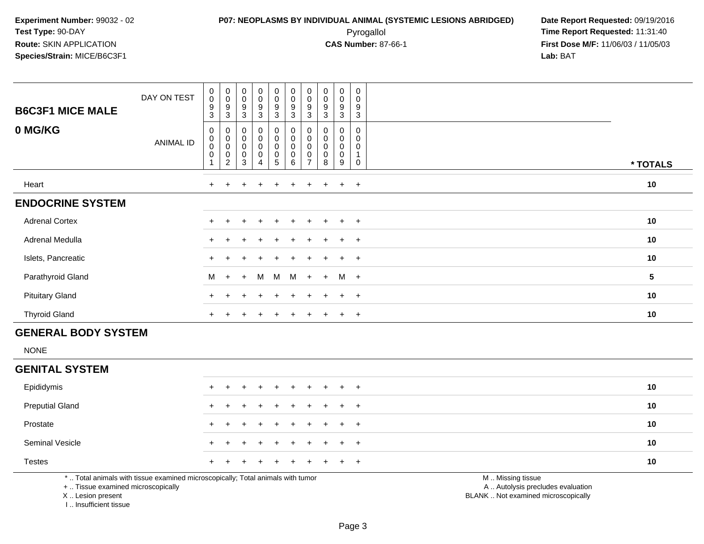### **P07: NEOPLASMS BY INDIVIDUAL ANIMAL (SYSTEMIC LESIONS ABRIDGED) Date Report Requested:** 09/19/2016 Pyrogallol **Time Report Requested:** 11:31:40

**First Dose M/F:** 11/06/03 / 11/05/03<br>**Lab:** BAT **Lab:** BAT

| <b>B6C3F1 MICE MALE</b> | DAY ON TEST | $_{0}^{0}$<br>9<br>3               | $_{\rm 0}^{\rm 0}$<br>$\frac{9}{3}$                                | $_{\rm 0}^{\rm 0}$<br>9<br>3                                    | $\begin{smallmatrix} 0\\0 \end{smallmatrix}$<br>$\frac{9}{3}$        | $\begin{smallmatrix}0\0\0\9\end{smallmatrix}$<br>3              | 0<br>$\pmb{0}$<br>9<br>3                          | $\pmb{0}$<br>$\pmb{0}$<br>9<br>3 | $\begin{smallmatrix} 0\\0 \end{smallmatrix}$<br>$\boldsymbol{9}$<br>3 | $\begin{smallmatrix} 0\\0 \end{smallmatrix}$<br>$\frac{9}{3}$ | 0<br>$\mathbf 0$<br>9<br>3 |          |
|-------------------------|-------------|------------------------------------|--------------------------------------------------------------------|-----------------------------------------------------------------|----------------------------------------------------------------------|-----------------------------------------------------------------|---------------------------------------------------|----------------------------------|-----------------------------------------------------------------------|---------------------------------------------------------------|----------------------------|----------|
| 0 MG/KG                 | ANIMAL ID   | 0<br>$\pmb{0}$<br>$\mathbf 0$<br>0 | $\begin{matrix}0\\0\\0\end{matrix}$<br>$\pmb{0}$<br>$\overline{c}$ | $\begin{smallmatrix}0\\0\\0\end{smallmatrix}$<br>$_{3}^{\rm 0}$ | $\begin{smallmatrix} 0\\0\\0\\0 \end{smallmatrix}$<br>$\pmb{0}$<br>4 | $\begin{smallmatrix}0\0\0\0\end{smallmatrix}$<br>$\pmb{0}$<br>5 | 0<br>$\pmb{0}$<br>$\mathbf 0$<br>$\mathbf 0$<br>6 | $\boldsymbol{0}$<br>0            | 0<br>$\mathbf 0$<br>$\mathbf 0$<br>$\mathsf 0$<br>8                   | 0<br>$\pmb{0}$<br>$\pmb{0}$<br>$\pmb{0}$<br>9                 | 0<br>0<br>0<br>0           | * TOTALS |
| Heart                   |             | $+$                                | $+$                                                                | $\ddot{}$                                                       | $+$                                                                  | $+$                                                             | $+$                                               | $+$                              | $+$                                                                   | $+$                                                           | $+$                        | 10       |
| <b>ENDOCRINE SYSTEM</b> |             |                                    |                                                                    |                                                                 |                                                                      |                                                                 |                                                   |                                  |                                                                       |                                                               |                            |          |
| <b>Adrenal Cortex</b>   |             |                                    |                                                                    | $\div$                                                          | $\ddot{}$                                                            | $\pm$                                                           |                                                   | $+$                              | $\pm$                                                                 | $+$                                                           | $+$                        | 10       |
| Adrenal Medulla         |             | $+$                                |                                                                    | $\div$                                                          | $\ddot{}$                                                            | $+$                                                             | $+$                                               | $+$                              | $+$                                                                   | $+$                                                           | $+$                        | 10       |
| Islets, Pancreatic      |             |                                    |                                                                    | ÷                                                               | $\div$                                                               | $+$                                                             | $+$                                               | $+$                              | $+$                                                                   | $+$                                                           | $+$                        | 10       |
| Parathyroid Gland       |             | M                                  | $+$                                                                | $+$                                                             | M                                                                    | M                                                               | M                                                 | $+$                              | $+$                                                                   | $M +$                                                         |                            | 5        |
| <b>Pituitary Gland</b>  |             |                                    |                                                                    |                                                                 | $\pm$                                                                | $+$                                                             |                                                   |                                  | $+$                                                                   | $+$                                                           | $+$                        | 10       |
| <b>Thyroid Gland</b>    |             | $+$                                |                                                                    |                                                                 | $\div$                                                               |                                                                 |                                                   |                                  | $\pm$                                                                 | $\pm$                                                         | $+$                        | 10       |

### **GENERAL BODY SYSTEM**

NONE

#### **GENITAL SYSTEM**

| Epididymis             |  | + + + + + + + + + + |  |  |  |  | 10 |
|------------------------|--|---------------------|--|--|--|--|----|
| <b>Preputial Gland</b> |  | + + + + + + + + + + |  |  |  |  | 10 |
| Prostate               |  | + + + + + + + + + + |  |  |  |  | 10 |
| <b>Seminal Vesicle</b> |  | + + + + + + + + + + |  |  |  |  | 10 |
| <b>Testes</b>          |  | + + + + + + + + + + |  |  |  |  | 10 |
|                        |  |                     |  |  |  |  |    |

\* .. Total animals with tissue examined microscopically; Total animals with tumor

+ .. Tissue examined microscopically

X .. Lesion present

I .. Insufficient tissue

M .. Missing tissue

y the contract of the contract of the contract of the contract of the contract of the contract of the contract of  $A$ . Autolysis precludes evaluation

Lesion present BLANK .. Not examined microscopically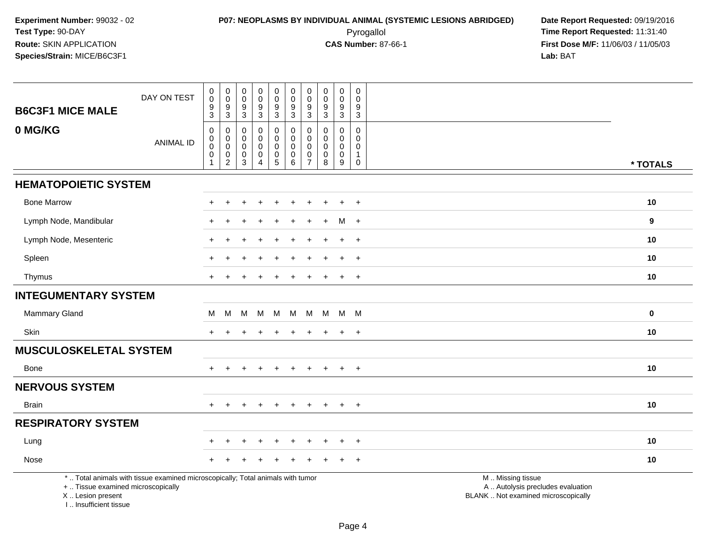# **P07: NEOPLASMS BY INDIVIDUAL ANIMAL (SYSTEMIC LESIONS ABRIDGED) Date Report Requested:** 09/19/2016 Pyrogallol **Time Report Requested:** 11:31:40

| <b>B6C3F1 MICE MALE</b>                                                          | DAY ON TEST                                                                     | $\pmb{0}$<br>$\mathsf{O}\xspace$<br>9<br>3                           | $\pmb{0}$<br>$\overline{0}$<br>$\frac{9}{3}$                     | $\mathbf 0$<br>$\mathbf 0$<br>$\boldsymbol{9}$<br>$\mathbf{3}$              | $\pmb{0}$<br>$\pmb{0}$<br>$\boldsymbol{9}$<br>$\mathbf{3}$            | $\pmb{0}$<br>$\pmb{0}$<br>$\boldsymbol{9}$<br>$\mathbf{3}$                     | $\pmb{0}$<br>$\ddot{\mathbf{0}}$<br>$\boldsymbol{9}$<br>$\mathbf{3}$ | $\mathbf 0$<br>$\mathbf 0$<br>9<br>3                        | $\pmb{0}$<br>$\pmb{0}$<br>$\boldsymbol{9}$<br>3 | $\pmb{0}$<br>$\pmb{0}$<br>$\boldsymbol{9}$<br>$\mathbf{3}$  | $\pmb{0}$<br>$\Omega$<br>$\boldsymbol{9}$<br>$\mathbf{3}$        |                                                                                               |             |
|----------------------------------------------------------------------------------|---------------------------------------------------------------------------------|----------------------------------------------------------------------|------------------------------------------------------------------|-----------------------------------------------------------------------------|-----------------------------------------------------------------------|--------------------------------------------------------------------------------|----------------------------------------------------------------------|-------------------------------------------------------------|-------------------------------------------------|-------------------------------------------------------------|------------------------------------------------------------------|-----------------------------------------------------------------------------------------------|-------------|
| 0 MG/KG                                                                          | <b>ANIMAL ID</b>                                                                | $\mathbf 0$<br>0<br>$\bar{0}$<br>$\mathsf{O}\xspace$<br>$\mathbf{1}$ | $\mathbf 0$<br>$\pmb{0}$<br>$\overline{0}$<br>$^{\rm 0}_{\rm 2}$ | $\mathbf 0$<br>$\boldsymbol{0}$<br>$\mathbf 0$<br>$\pmb{0}$<br>$\mathbf{3}$ | $\mathbf 0$<br>$\Omega$<br>$\mathbf 0$<br>$\pmb{0}$<br>$\overline{4}$ | 0<br>$\mathsf{O}\xspace$<br>$\pmb{0}$<br>$\begin{array}{c} 0 \\ 5 \end{array}$ | $\mathbf 0$<br>$\mathbf 0$<br>$\mathsf{O}\xspace$<br>$_{6}^{\rm 0}$  | $\mathbf 0$<br>0<br>$\Omega$<br>$\pmb{0}$<br>$\overline{7}$ | $\mathbf 0$<br>0<br>0<br>$\pmb{0}$<br>8         | $\mathbf 0$<br>$\mathbf 0$<br>$\mathbf 0$<br>$\pmb{0}$<br>9 | $\mathbf 0$<br>0<br>$\mathbf 0$<br>$\overline{1}$<br>$\mathbf 0$ |                                                                                               | * TOTALS    |
| <b>HEMATOPOIETIC SYSTEM</b>                                                      |                                                                                 |                                                                      |                                                                  |                                                                             |                                                                       |                                                                                |                                                                      |                                                             |                                                 |                                                             |                                                                  |                                                                                               |             |
| <b>Bone Marrow</b>                                                               |                                                                                 |                                                                      |                                                                  |                                                                             |                                                                       |                                                                                |                                                                      |                                                             |                                                 |                                                             | $\div$                                                           |                                                                                               | 10          |
| Lymph Node, Mandibular                                                           |                                                                                 |                                                                      |                                                                  |                                                                             |                                                                       |                                                                                |                                                                      |                                                             |                                                 | M                                                           | $+$                                                              |                                                                                               | 9           |
| Lymph Node, Mesenteric                                                           |                                                                                 | $+$                                                                  |                                                                  |                                                                             |                                                                       |                                                                                |                                                                      |                                                             |                                                 |                                                             | $+$                                                              |                                                                                               | 10          |
| Spleen                                                                           |                                                                                 |                                                                      |                                                                  |                                                                             |                                                                       |                                                                                |                                                                      |                                                             |                                                 |                                                             | $+$                                                              |                                                                                               | 10          |
| Thymus                                                                           |                                                                                 |                                                                      |                                                                  |                                                                             |                                                                       |                                                                                |                                                                      |                                                             |                                                 |                                                             | $+$                                                              |                                                                                               | 10          |
| <b>INTEGUMENTARY SYSTEM</b>                                                      |                                                                                 |                                                                      |                                                                  |                                                                             |                                                                       |                                                                                |                                                                      |                                                             |                                                 |                                                             |                                                                  |                                                                                               |             |
| Mammary Gland                                                                    |                                                                                 | M                                                                    | M                                                                | M                                                                           | M                                                                     | M                                                                              | M                                                                    | M                                                           |                                                 | M M M                                                       |                                                                  |                                                                                               | $\mathbf 0$ |
| Skin                                                                             |                                                                                 | $+$                                                                  |                                                                  |                                                                             |                                                                       |                                                                                |                                                                      |                                                             |                                                 |                                                             | $+$                                                              |                                                                                               | 10          |
| <b>MUSCULOSKELETAL SYSTEM</b>                                                    |                                                                                 |                                                                      |                                                                  |                                                                             |                                                                       |                                                                                |                                                                      |                                                             |                                                 |                                                             |                                                                  |                                                                                               |             |
| <b>Bone</b>                                                                      |                                                                                 | $\ddot{}$                                                            |                                                                  |                                                                             |                                                                       |                                                                                |                                                                      |                                                             |                                                 |                                                             | $\overline{+}$                                                   |                                                                                               | 10          |
| <b>NERVOUS SYSTEM</b>                                                            |                                                                                 |                                                                      |                                                                  |                                                                             |                                                                       |                                                                                |                                                                      |                                                             |                                                 |                                                             |                                                                  |                                                                                               |             |
| <b>Brain</b>                                                                     |                                                                                 | $+$                                                                  | $\pm$                                                            | $+$                                                                         | $+$                                                                   | $+$                                                                            | $+$                                                                  | $+$                                                         | $+$                                             | $+$                                                         | $+$                                                              |                                                                                               | 10          |
| <b>RESPIRATORY SYSTEM</b>                                                        |                                                                                 |                                                                      |                                                                  |                                                                             |                                                                       |                                                                                |                                                                      |                                                             |                                                 |                                                             |                                                                  |                                                                                               |             |
| Lung                                                                             |                                                                                 |                                                                      |                                                                  |                                                                             |                                                                       |                                                                                |                                                                      |                                                             |                                                 |                                                             | $+$                                                              |                                                                                               | 10          |
| Nose                                                                             |                                                                                 |                                                                      |                                                                  |                                                                             |                                                                       |                                                                                |                                                                      |                                                             |                                                 |                                                             | $\ddot{}$                                                        |                                                                                               | 10          |
| +  Tissue examined microscopically<br>X  Lesion present<br>I Insufficient tissue | *  Total animals with tissue examined microscopically; Total animals with tumor |                                                                      |                                                                  |                                                                             |                                                                       |                                                                                |                                                                      |                                                             |                                                 |                                                             |                                                                  | M  Missing tissue<br>A  Autolysis precludes evaluation<br>BLANK  Not examined microscopically |             |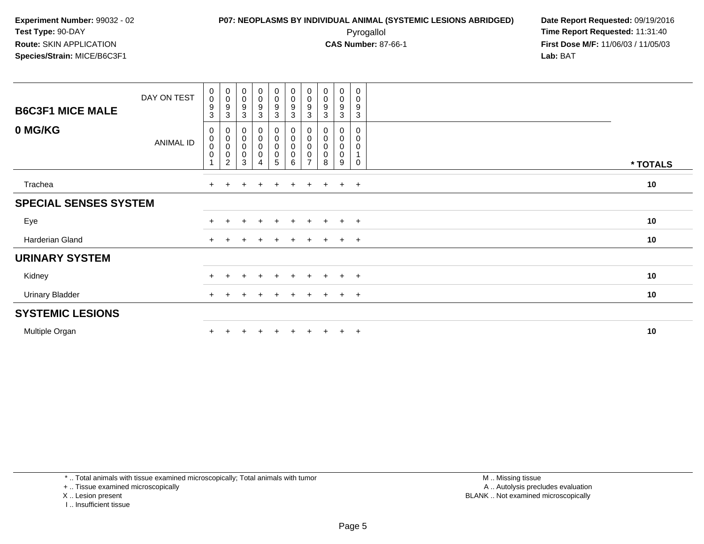# **P07: NEOPLASMS BY INDIVIDUAL ANIMAL (SYSTEMIC LESIONS ABRIDGED) Date Report Requested:** 09/19/2016 Pyrogallol **Time Report Requested:** 11:31:40

**First Dose M/F:** 11/06/03 / 11/05/03<br>Lab: BAT **Lab:** BAT

| <b>B6C3F1 MICE MALE</b>      | DAY ON TEST      | $\pmb{0}$<br>$\pmb{0}$<br>$\boldsymbol{9}$<br>3 | $\begin{smallmatrix}0\\0\\9\end{smallmatrix}$<br>$\mathbf{3}$ | $\begin{smallmatrix}0\0\0\9\end{smallmatrix}$<br>$\sqrt{3}$ | $\begin{smallmatrix}0\0\0\end{smallmatrix}$<br>9<br>3                   | $_{\rm 0}^{\rm 0}$<br>$\boldsymbol{9}$<br>$\mathbf{3}$              | $_{\rm 0}^{\rm 0}$<br>$\boldsymbol{9}$<br>$\mathbf{3}$                            | $\begin{smallmatrix}0\\0\end{smallmatrix}$<br>$9\,$<br>3 | $\stackrel{0}{\scriptstyle{0}}$<br>9<br>3 | $\pmb{0}$<br>0<br>$\boldsymbol{9}$<br>3 | $\pmb{0}$<br>$\pmb{0}$<br>$\boldsymbol{9}$<br>3   |          |
|------------------------------|------------------|-------------------------------------------------|---------------------------------------------------------------|-------------------------------------------------------------|-------------------------------------------------------------------------|---------------------------------------------------------------------|-----------------------------------------------------------------------------------|----------------------------------------------------------|-------------------------------------------|-----------------------------------------|---------------------------------------------------|----------|
| 0 MG/KG                      | <b>ANIMAL ID</b> | 0<br>0<br>$\pmb{0}$<br>$\pmb{0}$                | 0<br>0<br>0<br>2                                              | $\begin{matrix} 0 \\ 0 \\ 0 \\ 0 \end{matrix}$<br>3         | $\begin{smallmatrix}0\0\0\end{smallmatrix}$<br>0<br>0<br>$\overline{4}$ | $\begin{smallmatrix} 0\\0 \end{smallmatrix}$<br>$\pmb{0}$<br>0<br>5 | $\begin{smallmatrix}0\\0\end{smallmatrix}$<br>$\mathbf 0$<br>$\pmb{0}$<br>$\,6\,$ | 0<br>$\pmb{0}$<br>$\pmb{0}$<br>0                         | 0<br>$\pmb{0}$<br>$\mathbf 0$<br>0<br>8   | 0<br>$\pmb{0}$<br>0<br>0<br>9           | 0<br>$\mathbf 0$<br>0<br>$\mathbf{1}$<br>$\Omega$ | * TOTALS |
| Trachea                      |                  | $\ddot{}$                                       |                                                               |                                                             | $\div$                                                                  | $\pm$                                                               | $\pm$                                                                             | ÷                                                        |                                           | $\pm$                                   | $+$                                               | 10       |
| <b>SPECIAL SENSES SYSTEM</b> |                  |                                                 |                                                               |                                                             |                                                                         |                                                                     |                                                                                   |                                                          |                                           |                                         |                                                   |          |
| Eye                          |                  | $\pm$                                           |                                                               | $\pm$                                                       | $\ddot{}$                                                               | $+$                                                                 | $+$                                                                               | $+$                                                      | $+$                                       | $+$                                     | $+$                                               | 10       |
| Harderian Gland              |                  | $+$                                             |                                                               |                                                             |                                                                         |                                                                     | $\pm$                                                                             | ÷                                                        |                                           | $\pm$                                   | $^{+}$                                            | 10       |
| <b>URINARY SYSTEM</b>        |                  |                                                 |                                                               |                                                             |                                                                         |                                                                     |                                                                                   |                                                          |                                           |                                         |                                                   |          |
| Kidney                       |                  | $\pm$                                           | $\ddot{}$                                                     | $\pm$                                                       | $+$                                                                     | $+$                                                                 | $+$                                                                               | $+$                                                      | $+$                                       | $+$                                     | $+$                                               | 10       |
| <b>Urinary Bladder</b>       |                  | $+$                                             |                                                               |                                                             | $\div$                                                                  | $\pm$                                                               | $\pm$                                                                             | $+$                                                      | $\pm$                                     | $+$                                     | $+$                                               | 10       |
| <b>SYSTEMIC LESIONS</b>      |                  |                                                 |                                                               |                                                             |                                                                         |                                                                     |                                                                                   |                                                          |                                           |                                         |                                                   |          |
| Multiple Organ               |                  |                                                 |                                                               |                                                             |                                                                         |                                                                     |                                                                                   |                                                          |                                           | $\pm$                                   | $^{+}$                                            | 10       |

\* .. Total animals with tissue examined microscopically; Total animals with tumor

+ .. Tissue examined microscopically

X .. Lesion present

I .. Insufficient tissue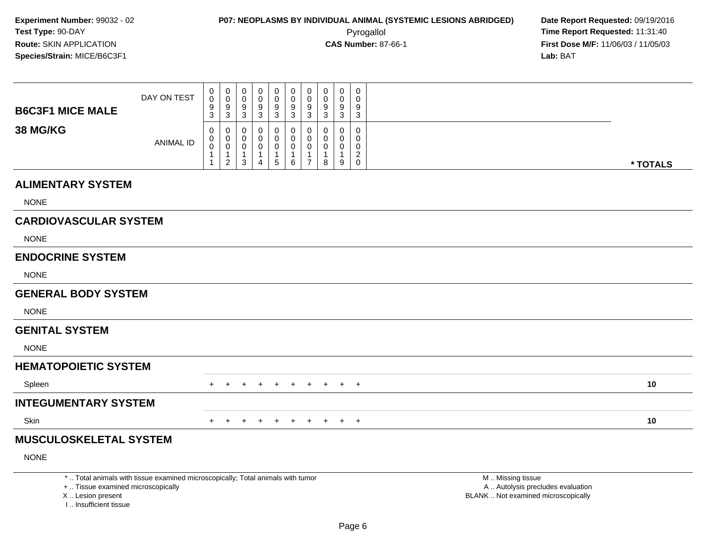**First Dose M/F:** 11/06/03 / 11/05/03<br>**Lab:** BAT **Lab:** BAT

| <b>B6C3F1 MICE MALE</b>      | DAY ON TEST      | 0<br>$\pmb{0}$<br>9<br>$\sqrt{3}$ | $\mathbf 0$<br>$\mathbf 0$<br>$9\,$<br>$\mathbf{3}$ | 0<br>$\mathbf 0$<br>$\boldsymbol{9}$<br>$\mathsf 3$ | 0<br>0<br>9<br>$\mathbf{3}$ | 0<br>0<br>9<br>$\sqrt{3}$       | 0<br>0<br>9<br>$\mathbf{3}$ | 0<br>0<br>9<br>$\sqrt{3}$                           | 0<br>$\pmb{0}$<br>9<br>$\sqrt{3}$ | 0<br>0<br>9<br>$\mathbf{3}$ | $\mathbf 0$<br>$\mathbf 0$<br>$\boldsymbol{9}$<br>$\mathbf{3}$ |          |
|------------------------------|------------------|-----------------------------------|-----------------------------------------------------|-----------------------------------------------------|-----------------------------|---------------------------------|-----------------------------|-----------------------------------------------------|-----------------------------------|-----------------------------|----------------------------------------------------------------|----------|
| <b>38 MG/KG</b>              | <b>ANIMAL ID</b> | 0<br>0<br>$\pmb{0}$               | 0<br>0<br>$\mathbf 0$<br>1<br>$\overline{2}$        | 0<br>0<br>$\boldsymbol{0}$<br>$\overline{1}$<br>3   | 0<br>0<br>0<br>1<br>4       | 0<br>0<br>0<br>$\mathbf 1$<br>5 | $\mathbf{0}$<br>0<br>0<br>6 | $\Omega$<br>0<br>$\mathbf 0$<br>1<br>$\overline{7}$ | $\Omega$<br>0<br>0<br>1<br>8      | 0<br>0<br>0<br>9            | $\mathbf 0$<br>0<br>$\pmb{0}$<br>$^2_{\rm 0}$                  | * TOTALS |
| <b>ALIMENTARY SYSTEM</b>     |                  |                                   |                                                     |                                                     |                             |                                 |                             |                                                     |                                   |                             |                                                                |          |
| <b>NONE</b>                  |                  |                                   |                                                     |                                                     |                             |                                 |                             |                                                     |                                   |                             |                                                                |          |
| <b>CARDIOVASCULAR SYSTEM</b> |                  |                                   |                                                     |                                                     |                             |                                 |                             |                                                     |                                   |                             |                                                                |          |
| <b>NONE</b>                  |                  |                                   |                                                     |                                                     |                             |                                 |                             |                                                     |                                   |                             |                                                                |          |
| <b>ENDOCRINE SYSTEM</b>      |                  |                                   |                                                     |                                                     |                             |                                 |                             |                                                     |                                   |                             |                                                                |          |
| <b>NONE</b>                  |                  |                                   |                                                     |                                                     |                             |                                 |                             |                                                     |                                   |                             |                                                                |          |
| <b>GENERAL BODY SYSTEM</b>   |                  |                                   |                                                     |                                                     |                             |                                 |                             |                                                     |                                   |                             |                                                                |          |
| <b>NONE</b>                  |                  |                                   |                                                     |                                                     |                             |                                 |                             |                                                     |                                   |                             |                                                                |          |
| <b>GENITAL SYSTEM</b>        |                  |                                   |                                                     |                                                     |                             |                                 |                             |                                                     |                                   |                             |                                                                |          |
| <b>NONE</b>                  |                  |                                   |                                                     |                                                     |                             |                                 |                             |                                                     |                                   |                             |                                                                |          |
| <b>HEMATOPOIETIC SYSTEM</b>  |                  |                                   |                                                     |                                                     |                             |                                 |                             |                                                     |                                   |                             |                                                                |          |
| Spleen                       |                  | $+$                               | $+$                                                 | $+$                                                 | $\ddot{}$                   | $+$                             | $+$                         | $+$                                                 | $+$                               |                             | $+$ $+$                                                        | 10       |
| INTEGHMENTARY SVSTEM         |                  |                                   |                                                     |                                                     |                             |                                 |                             |                                                     |                                   |                             |                                                                |          |

#### **INTEGUMENTARY SYSTEM**

Skinn  $+$ 

<sup>+</sup> <sup>+</sup> <sup>+</sup> <sup>+</sup> <sup>+</sup> <sup>+</sup> <sup>+</sup> <sup>+</sup> <sup>+</sup> **<sup>10</sup>**

### **MUSCULOSKELETAL SYSTEM**

NONE

\* .. Total animals with tissue examined microscopically; Total animals with tumor

+ .. Tissue examined microscopically

X .. Lesion present

I .. Insufficient tissue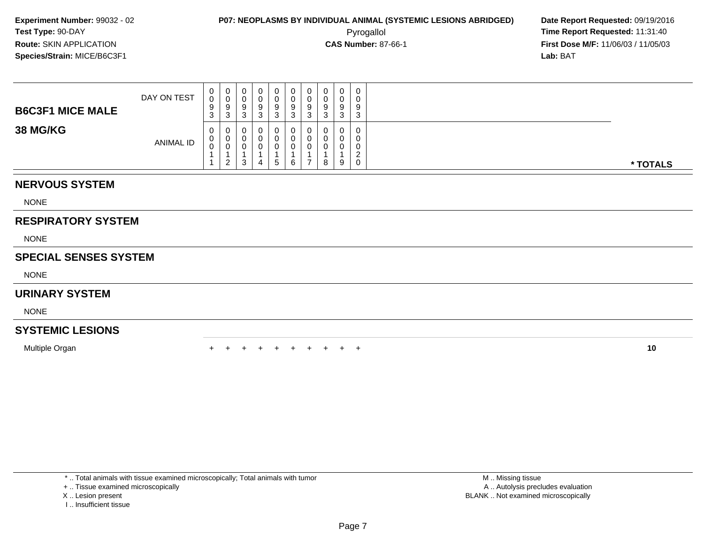**First Dose M/F:** 11/06/03 / 11/05/03<br>**Lab:** BAT **Lab:** BAT

| <b>B6C3F1 MICE MALE</b> | DAY ON TEST      | U<br>0<br>9<br>$\sim$<br>ັ | U<br>ು                   | U<br>v<br>9<br>د. | 9      | 0<br>0<br>9<br>ົ<br>-0 | 0<br>0<br>9<br>ົ<br>ັ | $\circ$<br>w |   | U<br>a<br>c | 0<br>0<br>9<br>3                         |          |
|-------------------------|------------------|----------------------------|--------------------------|-------------------|--------|------------------------|-----------------------|--------------|---|-------------|------------------------------------------|----------|
| <b>38 MG/KG</b>         | <b>ANIMAL ID</b> | 0<br>v<br>$\sim$<br>U      | v<br>ັບ<br>$\mathcal{P}$ | 0<br>υ<br>ν<br>3  | J<br>4 | 0<br>$\Omega$<br>.5    | 0<br>0<br>0<br>6      | -            | 8 | 0<br>9      | 0<br>0<br>0<br>$\sqrt{2}$<br>$\mathbf 0$ | * TOTALS |

### **NERVOUS SYSTEM**

NONE

### **RESPIRATORY SYSTEM**

NONE

### **SPECIAL SENSES SYSTEM**

NONE

### **URINARY SYSTEM**

NONE

### **SYSTEMIC LESIONS**

Multiple Organn  $+$ 

<sup>+</sup> <sup>+</sup> <sup>+</sup> <sup>+</sup> <sup>+</sup> <sup>+</sup> <sup>+</sup> <sup>+</sup> <sup>+</sup> **<sup>10</sup>**

\* .. Total animals with tissue examined microscopically; Total animals with tumor

+ .. Tissue examined microscopically

- X .. Lesion present
- I .. Insufficient tissue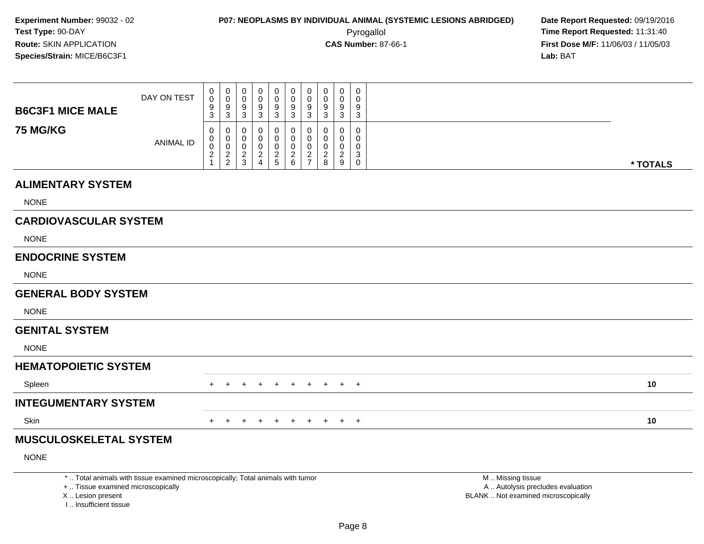**First Dose M/F:** 11/06/03 / 11/05/03<br>**Lab:** BAT **Lab:** BAT

| <b>B6C3F1 MICE MALE</b>      | DAY ON TEST | $_{\rm 0}^{\rm 0}$<br>9<br>3            | 0<br>0<br>9<br>3                           | $_{0}^{0}$<br>$\frac{9}{3}$      | U<br>0<br>9<br>3                     | $\mathbf 0$<br>$\pmb{0}$<br>9<br>$\mathbf{3}$         | U<br>$\mathsf{O}\xspace$<br>$\boldsymbol{9}$<br>$\mathbf{3}$ | 0<br>$\pmb{0}$<br>9<br>$\mathbf{3}$             | $\mathbf 0$<br>$\mathbf 0$<br>9<br>3 | 0<br>9<br>3 | 0<br>0<br>9<br>3 |          |
|------------------------------|-------------|-----------------------------------------|--------------------------------------------|----------------------------------|--------------------------------------|-------------------------------------------------------|--------------------------------------------------------------|-------------------------------------------------|--------------------------------------|-------------|------------------|----------|
| <b>75 MG/KG</b>              | ANIMAL ID   | 0<br>0<br>$\mathbf 0$<br>$\overline{c}$ | 0<br>0<br>$\overline{a}$<br>$\overline{c}$ | $_{0}^{0}$<br>0<br>$\frac{2}{3}$ | U<br>0<br>U<br>$\boldsymbol{2}$<br>4 | 0<br>0<br>$\pmb{0}$<br>$\boldsymbol{2}$<br>$\sqrt{5}$ | 0<br>$\pmb{0}$<br>$\overline{c}$<br>$\,6$                    | 0<br>0<br>0<br>$\overline{c}$<br>$\overline{ }$ | 0<br>0<br>0<br>$\overline{c}$<br>8   | ົ<br>←<br>9 | 0<br>3<br>0      | * TOTALS |
| <b>ALIMENTARY SYSTEM</b>     |             |                                         |                                            |                                  |                                      |                                                       |                                                              |                                                 |                                      |             |                  |          |
| <b>NONE</b>                  |             |                                         |                                            |                                  |                                      |                                                       |                                                              |                                                 |                                      |             |                  |          |
| <b>CARDIOVASCULAR SYSTEM</b> |             |                                         |                                            |                                  |                                      |                                                       |                                                              |                                                 |                                      |             |                  |          |
| <b>NONE</b>                  |             |                                         |                                            |                                  |                                      |                                                       |                                                              |                                                 |                                      |             |                  |          |
| <b>ENDOCRINE SYSTEM</b>      |             |                                         |                                            |                                  |                                      |                                                       |                                                              |                                                 |                                      |             |                  |          |

NONE

#### **GENERAL BODY SYSTEM**

NONE

#### **GENITAL SYSTEM**

NONE

### **HEMATOPOIETIC SYSTEM**

Spleenn  $+$  <sup>+</sup> <sup>+</sup> <sup>+</sup> <sup>+</sup> <sup>+</sup> <sup>+</sup> <sup>+</sup> <sup>+</sup> <sup>+</sup> **<sup>10</sup> INTEGUMENTARY SYSTEMSkin** n  $+$ <sup>+</sup> <sup>+</sup> <sup>+</sup> <sup>+</sup> <sup>+</sup> <sup>+</sup> <sup>+</sup> <sup>+</sup> <sup>+</sup> **<sup>10</sup>**

### **MUSCULOSKELETAL SYSTEM**

NONE

\* .. Total animals with tissue examined microscopically; Total animals with tumor

+ .. Tissue examined microscopically

X .. Lesion present

I .. Insufficient tissue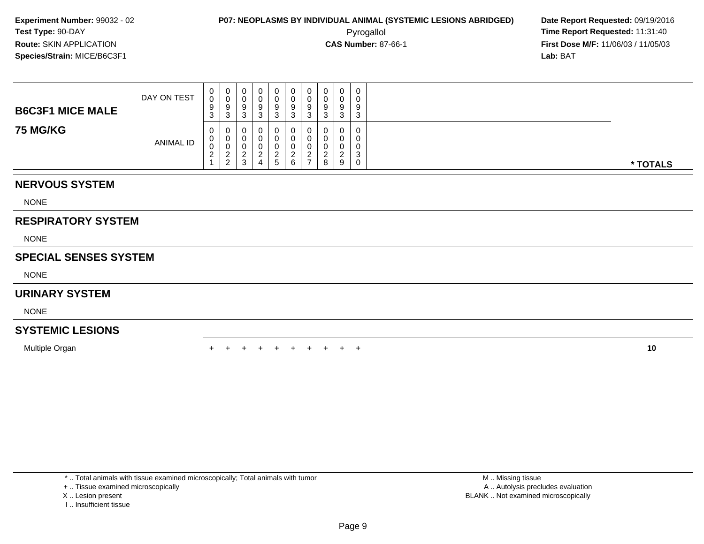**First Dose M/F:** 11/06/03 / 11/05/03<br>**Lab:** BAT **Lab:** BAT

| <b>B6C3F1 MICE MALE</b> | DAY ON TEST | ◡                       | $\mathbf 0$<br>ত | U<br>U<br>У<br>N | 0<br>0<br>9 | 0<br>0<br>9<br>3       | 0<br>0<br>9<br>⌒<br>ت      | O | υ<br>υ<br>9<br>ບ | 9<br>ົ             | $\mathbf 0$<br>0<br>9<br>3       |          |
|-------------------------|-------------|-------------------------|------------------|------------------|-------------|------------------------|----------------------------|---|------------------|--------------------|----------------------------------|----------|
| <b>75 MG/KG</b>         | ANIMAL ID   | ◡<br>◡<br>ີ<br><u>_</u> | 0<br>J<br>2<br>▵ | U<br>U<br>3      | 0<br>0<br>4 | 0<br>U<br>0<br>റ<br>b. | 0<br>0<br>0<br>$\sim$<br>6 |   | 0<br>υ<br>ົ<br>8 | ີ<br><u>.</u><br>9 | 0<br>0<br>0<br>-3<br>$\mathbf 0$ | * TOTALS |

### **NERVOUS SYSTEM**

NONE

### **RESPIRATORY SYSTEM**

NONE

### **SPECIAL SENSES SYSTEM**

NONE

### **URINARY SYSTEM**

NONE

### **SYSTEMIC LESIONS**

Multiple Organn  $+$ 

<sup>+</sup> <sup>+</sup> <sup>+</sup> <sup>+</sup> <sup>+</sup> <sup>+</sup> <sup>+</sup> <sup>+</sup> <sup>+</sup> **<sup>10</sup>**

\* .. Total animals with tissue examined microscopically; Total animals with tumor

+ .. Tissue examined microscopically

- X .. Lesion present
- I .. Insufficient tissue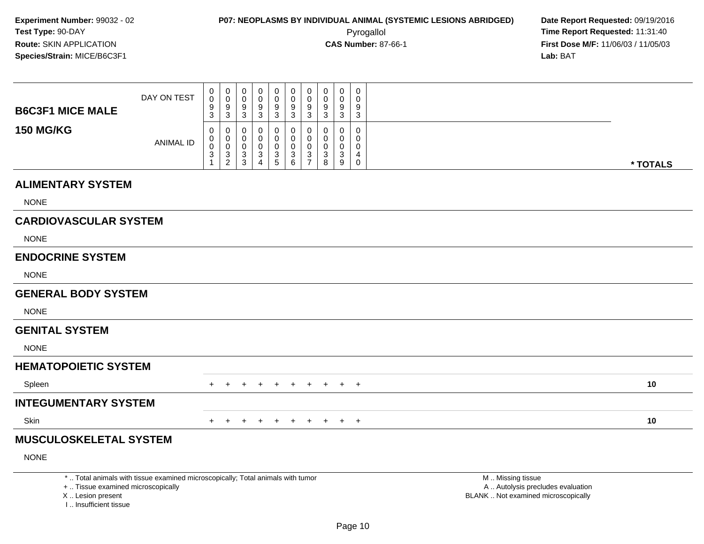**First Dose M/F:** 11/06/03 / 11/05/03<br>**Lab:** BAT **Lab:** BAT

| <b>B6C3F1 MICE MALE</b>      | DAY ON TEST      | 0<br>$\pmb{0}$<br>9<br>3           | 0<br>9<br>3                   | 0<br>9<br>3                          | O<br>$\mathbf 0$<br>$\boldsymbol{9}$<br>3                       | 0<br>9<br>3     | $\mathbf 0$<br>$\pmb{0}$<br>$\boldsymbol{9}$<br>3             | 0<br>0<br>9<br>3                            | 0<br>$\pmb{0}$<br>$\boldsymbol{9}$<br>3        | $\mathbf 0$<br>9<br>3 | $\mathbf 0$<br>0<br>9<br>3           |          |
|------------------------------|------------------|------------------------------------|-------------------------------|--------------------------------------|-----------------------------------------------------------------|-----------------|---------------------------------------------------------------|---------------------------------------------|------------------------------------------------|-----------------------|--------------------------------------|----------|
| <b>150 MG/KG</b>             | <b>ANIMAL ID</b> | 0<br>$\pmb{0}$<br>$\mathbf 0$<br>3 | 0<br>0<br>3<br>$\overline{2}$ | $\boldsymbol{0}$<br>0<br>0<br>3<br>3 | 0<br>$\pmb{0}$<br>$\mathbf 0$<br>$\ensuremath{\mathsf{3}}$<br>4 | $\sqrt{3}$<br>5 | $\boldsymbol{0}$<br>$\pmb{0}$<br>$\pmb{0}$<br>$\sqrt{3}$<br>6 | 0<br>0<br>0<br>$\sqrt{3}$<br>$\overline{ }$ | 0<br>$\pmb{0}$<br>$\pmb{0}$<br>$\sqrt{3}$<br>8 | 0<br>3<br>9           | 0<br>$\mathbf 0$<br>4<br>$\mathbf 0$ | * TOTALS |
| <b>ALIMENTARY SYSTEM</b>     |                  |                                    |                               |                                      |                                                                 |                 |                                                               |                                             |                                                |                       |                                      |          |
| <b>NONE</b>                  |                  |                                    |                               |                                      |                                                                 |                 |                                                               |                                             |                                                |                       |                                      |          |
| <b>CARDIOVASCULAR SYSTEM</b> |                  |                                    |                               |                                      |                                                                 |                 |                                                               |                                             |                                                |                       |                                      |          |
| <b>NONE</b>                  |                  |                                    |                               |                                      |                                                                 |                 |                                                               |                                             |                                                |                       |                                      |          |
| <b>ENDOCRINE SYSTEM</b>      |                  |                                    |                               |                                      |                                                                 |                 |                                                               |                                             |                                                |                       |                                      |          |
| <b>NONE</b>                  |                  |                                    |                               |                                      |                                                                 |                 |                                                               |                                             |                                                |                       |                                      |          |

### **GENERAL BODY SYSTEM**

NONE

#### **GENITAL SYSTEM**

NONE

### **HEMATOPOIETIC SYSTEM**

| Spleen               | + + + + + + + + + + | 10 |
|----------------------|---------------------|----|
| INTEGUMENTARY SYSTEM |                     |    |
| Skin                 | + + + + + + + + + + | 10 |

### **MUSCULOSKELETAL SYSTEM**

NONE

\* .. Total animals with tissue examined microscopically; Total animals with tumor

+ .. Tissue examined microscopically

X .. Lesion present

I .. Insufficient tissue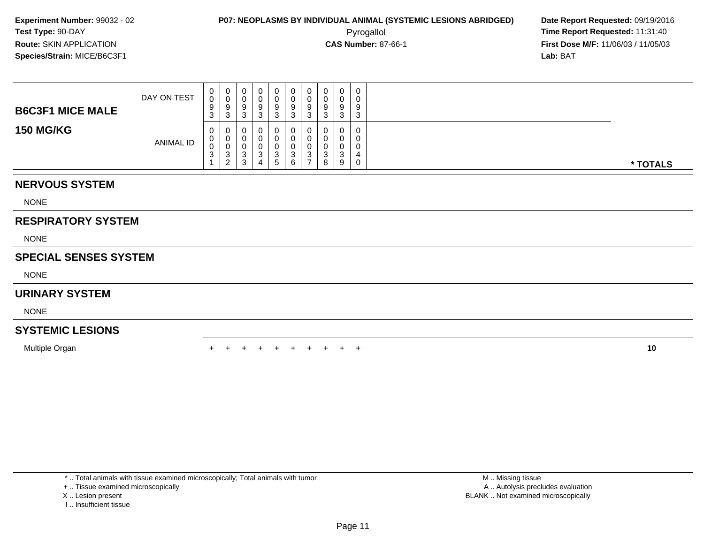**First Dose M/F:** 11/06/03 / 11/05/03<br>**Lab:** BAT **Lab:** BAT

| <b>B6C3F1 MICE MALE</b> | DAY ON TEST      | ◡<br>ັ | 0<br>u<br>ు      | U<br>U<br>У<br>J      | 0<br>0<br>9<br>ت. | 0<br>0<br>9<br>3           | 0<br>0<br>9<br>⌒<br>ت       | o | u<br>υ<br>9<br>رب            | 9<br>◠<br>w | 0<br>0<br>9<br>3                             |          |
|-------------------------|------------------|--------|------------------|-----------------------|-------------------|----------------------------|-----------------------------|---|------------------------------|-------------|----------------------------------------------|----------|
| <b>150 MG/KG</b>        | <b>ANIMAL ID</b> | ◡      | 0<br>u<br>đ<br>∠ | U<br>U<br>w<br>◠<br>P | 0<br>0<br>c<br>4  | 0<br>0<br>3<br>$5^{\circ}$ | 0<br>0<br>υ<br>C.<br>ت<br>6 |   | $\Omega$<br>u<br>ົ<br>د<br>8 | 0<br>ົ<br>9 | $\overline{0}$<br>0<br>0<br>4<br>$\mathbf 0$ | * TOTALS |

### **NERVOUS SYSTEM**

NONE

### **RESPIRATORY SYSTEM**

NONE

### **SPECIAL SENSES SYSTEM**

NONE

### **URINARY SYSTEM**

NONE

### **SYSTEMIC LESIONS**

Multiple Organn  $+$ 

<sup>+</sup> <sup>+</sup> <sup>+</sup> <sup>+</sup> <sup>+</sup> <sup>+</sup> <sup>+</sup> <sup>+</sup> <sup>+</sup> **<sup>10</sup>**

\* .. Total animals with tissue examined microscopically; Total animals with tumor

+ .. Tissue examined microscopically

- X .. Lesion present
- I .. Insufficient tissue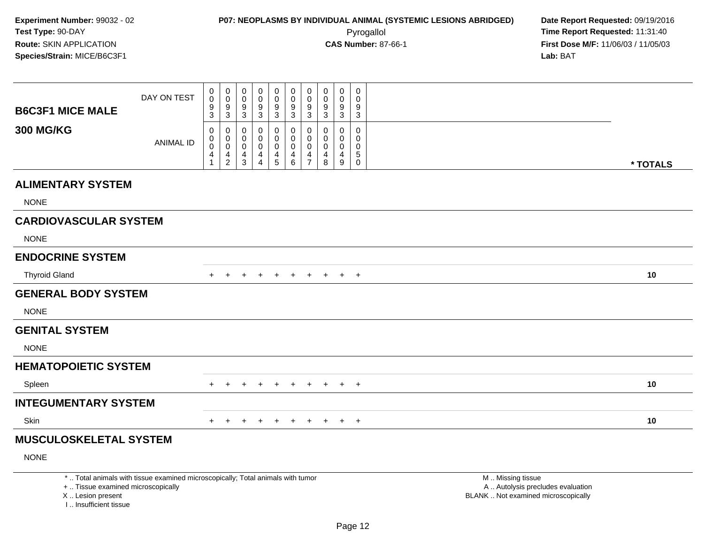I .. Insufficient tissue

| <b>B6C3F1 MICE MALE</b>                                 | DAY ON TEST                                                                     | 0<br>$\mathbf 0$<br>$\frac{9}{3}$                 | 0<br>$\mathsf{O}\xspace$<br>$\frac{9}{3}$        | 0<br>0<br>9<br>3                                                  | 0<br>0<br>9<br>$\mathbf{3}$     | 0<br>0<br>9<br>3                                       | 0<br>$\mathsf{O}$<br>$\frac{9}{3}$ | 0<br>0<br>$\frac{9}{3}$                | 0<br>0<br>9<br>3                       | $\mathbf 0$<br>0<br>$\frac{9}{3}$                                  | 0<br>$\Omega$<br>9<br>3                           |                                                                                               |
|---------------------------------------------------------|---------------------------------------------------------------------------------|---------------------------------------------------|--------------------------------------------------|-------------------------------------------------------------------|---------------------------------|--------------------------------------------------------|------------------------------------|----------------------------------------|----------------------------------------|--------------------------------------------------------------------|---------------------------------------------------|-----------------------------------------------------------------------------------------------|
| <b>300 MG/KG</b>                                        | <b>ANIMAL ID</b>                                                                | 0<br>$\mathbf 0$<br>$\mathbf 0$<br>$\overline{4}$ | 0<br>$\mathbf 0$<br>$\mathbf 0$<br>$\frac{4}{2}$ | 0<br>$\mathbf 0$<br>$\mathbf 0$<br>$\overline{4}$<br>$\mathbf{3}$ | 0<br>$\mathbf 0$<br>0<br>4<br>4 | 0<br>$\mathbf 0$<br>$\mathbf 0$<br>$\overline{4}$<br>5 | 0<br>$\Omega$<br>0<br>4<br>$\,6\,$ | 0<br>$\mathbf 0$<br>0<br>$\frac{4}{7}$ | 0<br>$\Omega$<br>$\mathbf 0$<br>4<br>8 | $\mathbf 0$<br>$\mathbf 0$<br>$\mathbf 0$<br>4<br>$\boldsymbol{9}$ | $\Omega$<br>$\mathbf{0}$<br>0<br>5<br>$\mathbf 0$ | * TOTALS                                                                                      |
| <b>ALIMENTARY SYSTEM</b>                                |                                                                                 |                                                   |                                                  |                                                                   |                                 |                                                        |                                    |                                        |                                        |                                                                    |                                                   |                                                                                               |
| <b>NONE</b>                                             |                                                                                 |                                                   |                                                  |                                                                   |                                 |                                                        |                                    |                                        |                                        |                                                                    |                                                   |                                                                                               |
| <b>CARDIOVASCULAR SYSTEM</b>                            |                                                                                 |                                                   |                                                  |                                                                   |                                 |                                                        |                                    |                                        |                                        |                                                                    |                                                   |                                                                                               |
| <b>NONE</b>                                             |                                                                                 |                                                   |                                                  |                                                                   |                                 |                                                        |                                    |                                        |                                        |                                                                    |                                                   |                                                                                               |
| <b>ENDOCRINE SYSTEM</b>                                 |                                                                                 |                                                   |                                                  |                                                                   |                                 |                                                        |                                    |                                        |                                        |                                                                    |                                                   |                                                                                               |
| <b>Thyroid Gland</b>                                    |                                                                                 | $+$                                               | $+$                                              | $+$                                                               | $+$                             | $+$                                                    | $+$                                | $+$                                    | $+$                                    |                                                                    | $+$ $+$                                           | 10                                                                                            |
| <b>GENERAL BODY SYSTEM</b>                              |                                                                                 |                                                   |                                                  |                                                                   |                                 |                                                        |                                    |                                        |                                        |                                                                    |                                                   |                                                                                               |
| <b>NONE</b>                                             |                                                                                 |                                                   |                                                  |                                                                   |                                 |                                                        |                                    |                                        |                                        |                                                                    |                                                   |                                                                                               |
| <b>GENITAL SYSTEM</b>                                   |                                                                                 |                                                   |                                                  |                                                                   |                                 |                                                        |                                    |                                        |                                        |                                                                    |                                                   |                                                                                               |
| <b>NONE</b>                                             |                                                                                 |                                                   |                                                  |                                                                   |                                 |                                                        |                                    |                                        |                                        |                                                                    |                                                   |                                                                                               |
| <b>HEMATOPOIETIC SYSTEM</b>                             |                                                                                 |                                                   |                                                  |                                                                   |                                 |                                                        |                                    |                                        |                                        |                                                                    |                                                   |                                                                                               |
| Spleen                                                  |                                                                                 |                                                   |                                                  |                                                                   |                                 |                                                        | $+$                                | $+$                                    | $+$                                    |                                                                    | $+$ $+$                                           | 10                                                                                            |
| <b>INTEGUMENTARY SYSTEM</b>                             |                                                                                 |                                                   |                                                  |                                                                   |                                 |                                                        |                                    |                                        |                                        |                                                                    |                                                   |                                                                                               |
| Skin                                                    |                                                                                 | $\pm$                                             | $+$                                              | $\ddot{}$                                                         | $+$                             | $+$                                                    | $+$                                | $+$                                    | $+$                                    |                                                                    | $+$ $+$                                           | 10                                                                                            |
| <b>MUSCULOSKELETAL SYSTEM</b>                           |                                                                                 |                                                   |                                                  |                                                                   |                                 |                                                        |                                    |                                        |                                        |                                                                    |                                                   |                                                                                               |
| <b>NONE</b>                                             |                                                                                 |                                                   |                                                  |                                                                   |                                 |                                                        |                                    |                                        |                                        |                                                                    |                                                   |                                                                                               |
| +  Tissue examined microscopically<br>X  Lesion present | *  Total animals with tissue examined microscopically; Total animals with tumor |                                                   |                                                  |                                                                   |                                 |                                                        |                                    |                                        |                                        |                                                                    |                                                   | M  Missing tissue<br>A  Autolysis precludes evaluation<br>BLANK  Not examined microscopically |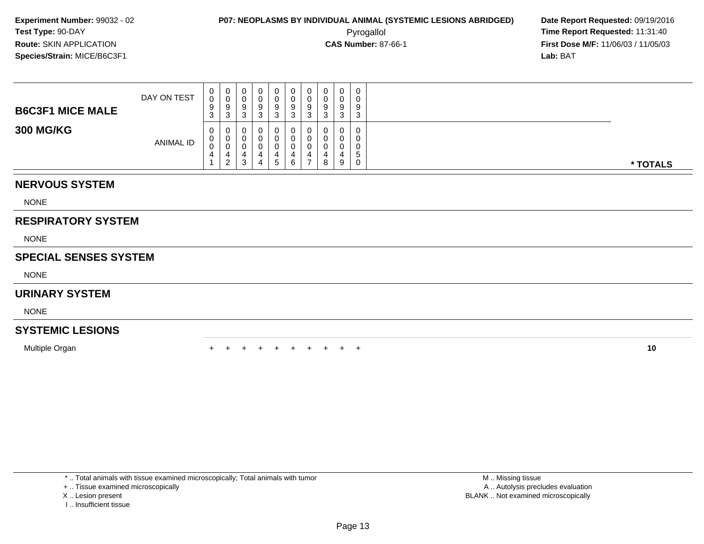**First Dose M/F:** 11/06/03 / 11/05/03<br>**Lab:** BAT **Lab:** BAT

| <b>B6C3F1 MICE MALE</b> | DAY ON TEST | ◡      | U<br>u<br>N | U<br>U<br>У<br>w        | 0<br>O<br>9             | 0<br>0<br>9<br>3            | 0<br>0<br>9<br>⌒<br>ت |   | u<br>u<br>9 | 9<br>◠ | $\overline{0}$<br>0<br>9<br>3      |  |          |
|-------------------------|-------------|--------|-------------|-------------------------|-------------------------|-----------------------------|-----------------------|---|-------------|--------|------------------------------------|--|----------|
| <b>300 MG/KG</b>        | ANIMAL ID   | ◡<br>4 | 0<br>ັ<br>2 | U<br>U<br>◠<br><b>ت</b> | 0<br><b>U</b><br>4<br>4 | 0<br>U<br>4<br><sub>5</sub> | 0<br>υ<br>ᅭ<br>6      | ≖ | 0<br>8      | 9      | $\overline{0}$<br>0<br>0<br>G<br>0 |  | * TOTALS |

### **NERVOUS SYSTEM**

NONE

### **RESPIRATORY SYSTEM**

NONE

### **SPECIAL SENSES SYSTEM**

NONE

### **URINARY SYSTEM**

NONE

### **SYSTEMIC LESIONS**

Multiple Organn  $+$ 

<sup>+</sup> <sup>+</sup> <sup>+</sup> <sup>+</sup> <sup>+</sup> <sup>+</sup> <sup>+</sup> <sup>+</sup> <sup>+</sup> **<sup>10</sup>**

\* .. Total animals with tissue examined microscopically; Total animals with tumor

+ .. Tissue examined microscopically

- X .. Lesion present
- I .. Insufficient tissue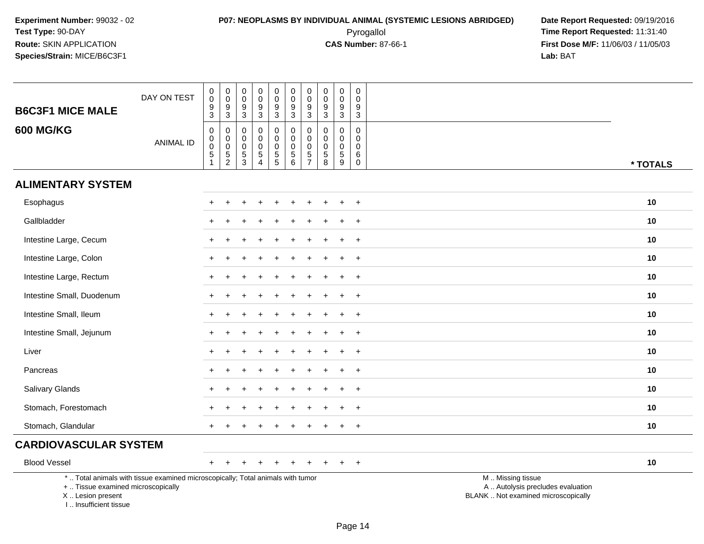# **P07: NEOPLASMS BY INDIVIDUAL ANIMAL (SYSTEMIC LESIONS ABRIDGED) Date Report Requested:** 09/19/2016 Pyrogallol **Time Report Requested:** 11:31:40

| <b>B6C3F1 MICE MALE</b>                                                            | DAY ON TEST                                                                     | $\pmb{0}$<br>$\pmb{0}$<br>$\frac{9}{3}$                             | $_{\rm 0}^{\rm 0}$<br>$\frac{9}{3}$                                                   | $\boldsymbol{0}$<br>$\ddot{\mathbf{0}}$<br>$\frac{9}{3}$   | $\pmb{0}$<br>$\mathsf{O}\xspace$<br>$\frac{9}{3}$                         | 0<br>$\ddot{\mathbf{0}}$<br>$\frac{9}{3}$         | $\pmb{0}$<br>$\overline{0}$<br>$\frac{9}{3}$                | $\pmb{0}$<br>$\mathbf 0$<br>$\frac{9}{3}$                                     | $\pmb{0}$<br>$\mathbf 0$<br>9<br>$\mathbf{3}$ | $\mathbf 0$<br>$\mathbf 0$<br>9<br>$\mathbf{3}$                  | 0<br>$\Omega$<br>9<br>3                                 |                                                                                               |  |
|------------------------------------------------------------------------------------|---------------------------------------------------------------------------------|---------------------------------------------------------------------|---------------------------------------------------------------------------------------|------------------------------------------------------------|---------------------------------------------------------------------------|---------------------------------------------------|-------------------------------------------------------------|-------------------------------------------------------------------------------|-----------------------------------------------|------------------------------------------------------------------|---------------------------------------------------------|-----------------------------------------------------------------------------------------------|--|
| <b>600 MG/KG</b>                                                                   | <b>ANIMAL ID</b>                                                                | $\mathbf 0$<br>$_{\rm 0}^{\rm 0}$<br>$\overline{5}$<br>$\mathbf{1}$ | $\boldsymbol{0}$<br>$\mathsf 0$<br>$\overline{0}$<br>$\overline{5}$<br>$\overline{c}$ | $\mathbf 0$<br>$\mathbf 0$<br>$\mathbf 0$<br>$\frac{5}{3}$ | $\pmb{0}$<br>$\mathbf 0$<br>$\pmb{0}$<br>$\overline{5}$<br>$\overline{4}$ | 0<br>$\mathbf 0$<br>$\mathbf 0$<br>$\overline{5}$ | $\boldsymbol{0}$<br>$\overline{0}$<br>0<br>$\overline{5}$ 6 | $\mathbf 0$<br>$\mathbf 0$<br>$\mathbf 0$<br>$\overline{5}$<br>$\overline{7}$ | 0<br>$\mathbf 0$<br>0<br>$\overline{5}$<br>8  | $\mathbf 0$<br>$\mathbf 0$<br>$\mathbf 0$<br>$\overline{5}$<br>9 | $\mathbf 0$<br>0<br>$\mathbf 0$<br>$\,6$<br>$\mathbf 0$ | * TOTALS                                                                                      |  |
| <b>ALIMENTARY SYSTEM</b>                                                           |                                                                                 |                                                                     |                                                                                       |                                                            |                                                                           |                                                   |                                                             |                                                                               |                                               |                                                                  |                                                         |                                                                                               |  |
| Esophagus                                                                          |                                                                                 | $\pm$                                                               | $\ddot{}$                                                                             |                                                            |                                                                           |                                                   |                                                             |                                                                               |                                               |                                                                  | $+$                                                     | 10                                                                                            |  |
| Gallbladder                                                                        |                                                                                 |                                                                     |                                                                                       |                                                            |                                                                           |                                                   |                                                             |                                                                               |                                               |                                                                  | $\ddot{}$                                               | 10                                                                                            |  |
| Intestine Large, Cecum                                                             |                                                                                 |                                                                     |                                                                                       |                                                            |                                                                           |                                                   |                                                             |                                                                               |                                               |                                                                  | $+$                                                     | 10                                                                                            |  |
| Intestine Large, Colon                                                             |                                                                                 | $+$                                                                 |                                                                                       |                                                            |                                                                           |                                                   |                                                             |                                                                               |                                               |                                                                  | $+$                                                     | 10                                                                                            |  |
| Intestine Large, Rectum                                                            |                                                                                 | $\pm$                                                               |                                                                                       |                                                            |                                                                           |                                                   |                                                             |                                                                               |                                               |                                                                  | $+$                                                     | 10                                                                                            |  |
| Intestine Small, Duodenum                                                          |                                                                                 |                                                                     |                                                                                       |                                                            |                                                                           |                                                   |                                                             |                                                                               |                                               |                                                                  | $\ddot{}$                                               | 10                                                                                            |  |
| Intestine Small, Ileum                                                             |                                                                                 | $\pm$                                                               |                                                                                       |                                                            |                                                                           |                                                   |                                                             |                                                                               |                                               |                                                                  | $+$                                                     | 10                                                                                            |  |
| Intestine Small, Jejunum                                                           |                                                                                 |                                                                     |                                                                                       |                                                            |                                                                           |                                                   |                                                             |                                                                               |                                               |                                                                  | $+$                                                     | 10                                                                                            |  |
| Liver                                                                              |                                                                                 |                                                                     |                                                                                       |                                                            |                                                                           |                                                   |                                                             |                                                                               |                                               |                                                                  | $\ddot{}$                                               | 10                                                                                            |  |
| Pancreas                                                                           |                                                                                 |                                                                     |                                                                                       |                                                            |                                                                           |                                                   |                                                             |                                                                               |                                               |                                                                  | $+$                                                     | 10                                                                                            |  |
| Salivary Glands                                                                    |                                                                                 |                                                                     |                                                                                       |                                                            |                                                                           |                                                   |                                                             |                                                                               |                                               |                                                                  | $+$                                                     | 10                                                                                            |  |
| Stomach, Forestomach                                                               |                                                                                 |                                                                     |                                                                                       |                                                            |                                                                           |                                                   |                                                             |                                                                               |                                               |                                                                  | $\ddot{}$                                               | 10                                                                                            |  |
| Stomach, Glandular                                                                 |                                                                                 |                                                                     |                                                                                       |                                                            |                                                                           |                                                   |                                                             |                                                                               |                                               |                                                                  | $\ddot{}$                                               | 10                                                                                            |  |
| <b>CARDIOVASCULAR SYSTEM</b>                                                       |                                                                                 |                                                                     |                                                                                       |                                                            |                                                                           |                                                   |                                                             |                                                                               |                                               |                                                                  |                                                         |                                                                                               |  |
| <b>Blood Vessel</b>                                                                |                                                                                 | $+$                                                                 |                                                                                       |                                                            |                                                                           | $\ddot{}$                                         |                                                             |                                                                               |                                               |                                                                  | $+$                                                     | 10                                                                                            |  |
| +  Tissue examined microscopically<br>X  Lesion present<br>I., Insufficient tissue | *  Total animals with tissue examined microscopically; Total animals with tumor |                                                                     |                                                                                       |                                                            |                                                                           |                                                   |                                                             |                                                                               |                                               |                                                                  |                                                         | M  Missing tissue<br>A  Autolysis precludes evaluation<br>BLANK  Not examined microscopically |  |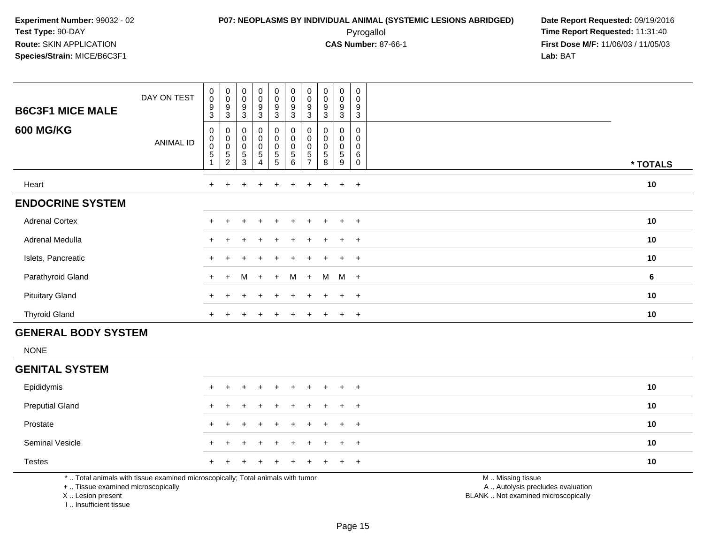### **P07: NEOPLASMS BY INDIVIDUAL ANIMAL (SYSTEMIC LESIONS ABRIDGED) Date Report Requested:** 09/19/2016 Pyrogallol **Time Report Requested:** 11:31:40

**First Dose M/F:** 11/06/03 / 11/05/03<br>**Lab:** BAT **Lab:** BAT

| <b>B6C3F1 MICE MALE</b> | DAY ON TEST | $\mathbf 0$<br>$\mathbf 0$<br>9<br>3 | $\begin{smallmatrix}0\\0\end{smallmatrix}$<br>$\boldsymbol{9}$<br>$\mathbf{3}$  | $_{\rm 0}^{\rm 0}$<br>9<br>$\sqrt{3}$            | 0<br>0<br>9<br>$\mathbf{3}$    | $\begin{matrix} 0 \\ 0 \\ 9 \\ 3 \end{matrix}$    | $\pmb{0}$<br>$\pmb{0}$<br>9<br>3        | $\pmb{0}$<br>$\pmb{0}$<br>9<br>3                | $\mathbf 0$<br>$\mathsf{O}\xspace$<br>9<br>$\mathbf{3}$ | 0<br>0<br>$\boldsymbol{9}$<br>$\mathbf{3}$ | 0<br>$\mathbf 0$<br>$9\,$<br>$\sqrt{3}$                         |          |
|-------------------------|-------------|--------------------------------------|---------------------------------------------------------------------------------|--------------------------------------------------|--------------------------------|---------------------------------------------------|-----------------------------------------|-------------------------------------------------|---------------------------------------------------------|--------------------------------------------|-----------------------------------------------------------------|----------|
| <b>600 MG/KG</b>        | ANIMAL ID   | 0<br>0<br>$\mathbf 0$<br>$\mathbf 5$ | $\boldsymbol{0}$<br>$\begin{smallmatrix}0\\0\end{smallmatrix}$<br>$\frac{5}{2}$ | $\pmb{0}$<br>$_{\rm 0}^{\rm 0}$<br>$\frac{5}{3}$ | 0<br>0<br>0<br>$\sqrt{5}$<br>4 | $\pmb{0}$<br>$\overline{0}$<br>0<br>$\frac{5}{5}$ | 0<br>$\pmb{0}$<br>$\mathbf 0$<br>5<br>6 | $\pmb{0}$<br>$\mathbf 0$<br>5<br>$\overline{7}$ | 0<br>$\pmb{0}$<br>0<br>$\,$ 5 $\,$<br>8                 | 0<br>0<br>0<br>$5\phantom{.0}$<br>9        | 0<br>$\mathbf 0$<br>$\pmb{0}$<br>$6\phantom{1}6$<br>$\mathbf 0$ | * TOTALS |
| Heart                   |             | $\ddot{}$                            |                                                                                 |                                                  | $\pm$                          |                                                   |                                         |                                                 | $\overline{+}$                                          | $+$                                        | $+$                                                             | 10       |
| <b>ENDOCRINE SYSTEM</b> |             |                                      |                                                                                 |                                                  |                                |                                                   |                                         |                                                 |                                                         |                                            |                                                                 |          |
| <b>Adrenal Cortex</b>   |             | $\ddot{}$                            |                                                                                 |                                                  | $\div$                         |                                                   |                                         |                                                 | $\div$                                                  | $+$                                        | $+$                                                             | 10       |
| Adrenal Medulla         |             | $\ddot{}$                            |                                                                                 | $\pm$                                            | $+$                            | $\pm$                                             | $\ddot{}$                               | $+$                                             | $\pm$                                                   | $+$                                        | $+$                                                             | 10       |
| Islets, Pancreatic      |             | $\ddot{}$                            |                                                                                 | ÷                                                | ÷                              |                                                   | ÷.                                      |                                                 | $\pm$                                                   | $+$                                        | $+$                                                             | 10       |
| Parathyroid Gland       |             | $+$                                  | $+$                                                                             | M                                                | $+$                            | $+$                                               | M                                       | $+$                                             | M                                                       | M                                          | $+$                                                             | 6        |
| <b>Pituitary Gland</b>  |             | $\ddot{}$                            |                                                                                 |                                                  | ÷                              |                                                   |                                         |                                                 | $\div$                                                  | $+$                                        | $+$                                                             | 10       |
| <b>Thyroid Gland</b>    |             | $\ddot{}$                            |                                                                                 |                                                  |                                |                                                   |                                         |                                                 |                                                         | $\pm$                                      | $+$                                                             | 10       |

### **GENERAL BODY SYSTEM**

NONE

#### **GENITAL SYSTEM**

| Epididymis             |  | + + + + + + + + + + |  |  |  |  | 10 |
|------------------------|--|---------------------|--|--|--|--|----|
| <b>Preputial Gland</b> |  | + + + + + + + + + + |  |  |  |  | 10 |
| Prostate               |  | + + + + + + + + + + |  |  |  |  | 10 |
| <b>Seminal Vesicle</b> |  | + + + + + + + + + + |  |  |  |  | 10 |
| <b>Testes</b>          |  | + + + + + + + + + + |  |  |  |  | 10 |

\* .. Total animals with tissue examined microscopically; Total animals with tumor

+ .. Tissue examined microscopically

X .. Lesion present

I .. Insufficient tissue

M .. Missing tissue

y the contract of the contract of the contract of the contract of the contract of the contract of the contract of  $A$ . Autolysis precludes evaluation

Lesion present BLANK .. Not examined microscopically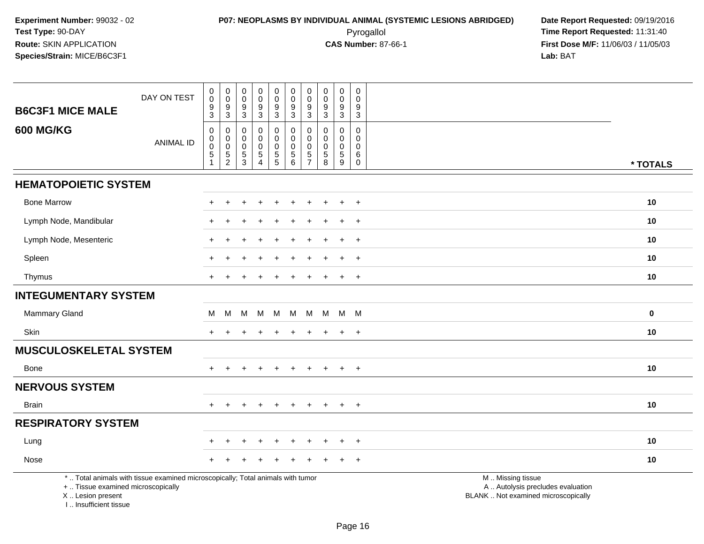# **P07: NEOPLASMS BY INDIVIDUAL ANIMAL (SYSTEMIC LESIONS ABRIDGED) Date Report Requested:** 09/19/2016 Pyrogallol **Time Report Requested:** 11:31:40

**First Dose M/F:** 11/06/03 / 11/05/03<br>**Lab:** BAT **Lab:** BAT

| <b>B6C3F1 MICE MALE</b>                                 | DAY ON TEST                                                                     | $\pmb{0}$<br>$\pmb{0}$<br>$\boldsymbol{9}$ | $\pmb{0}$<br>$\ddot{\mathbf{0}}$<br>$\boldsymbol{9}$ | $\mathbf 0$<br>$\mathsf{O}\xspace$<br>$\boldsymbol{9}$ | $\mathsf 0$<br>$\mathbf 0$<br>$9\,$         | 0<br>$\ddot{\mathbf{0}}$<br>$\boldsymbol{9}$ | $\mathbf 0$<br>$\overline{0}$<br>$\boldsymbol{9}$ | $\pmb{0}$<br>$\mathbf 0$<br>9 | 0<br>0<br>$\boldsymbol{9}$                           | $\mathbf 0$<br>$\mathbf 0$<br>$9\,$ | 0<br>$\Omega$<br>9                      |                                                                                               |             |
|---------------------------------------------------------|---------------------------------------------------------------------------------|--------------------------------------------|------------------------------------------------------|--------------------------------------------------------|---------------------------------------------|----------------------------------------------|---------------------------------------------------|-------------------------------|------------------------------------------------------|-------------------------------------|-----------------------------------------|-----------------------------------------------------------------------------------------------|-------------|
| <b>600 MG/KG</b>                                        | <b>ANIMAL ID</b>                                                                | $\mathbf{3}$<br>0<br>$\pmb{0}$             | $\mathbf{3}$<br>0<br>$\pmb{0}$                       | $\overline{3}$<br>0<br>$\boldsymbol{0}$                | 3<br>0<br>$\mathbf 0$                       | 3<br>0<br>$\mathbf 0$                        | 3<br>0<br>$\mathbf 0$                             | 3<br>0<br>$\mathbf 0$         | 3<br>$\Omega$<br>0                                   | 3<br>$\mathbf 0$<br>$\mathbf 0$     | 3<br>0<br>0                             |                                                                                               |             |
|                                                         |                                                                                 | $\pmb{0}$<br>$\frac{5}{1}$                 | $\mathsf 0$<br>$\frac{5}{2}$                         | $\mathbf 0$<br>$\frac{5}{3}$                           | $\mathbf 0$<br>$\sqrt{5}$<br>$\overline{4}$ | $\mathbf 0$<br>$\frac{5}{5}$                 | $\mathbf 0$<br>$\frac{5}{6}$                      | $\mathbf 0$<br>$\frac{5}{7}$  | $\mathbf 0$<br>$\begin{array}{c} 5 \\ 8 \end{array}$ | $\mathbf 0$<br>$\frac{5}{9}$        | $\mathbf 0$<br>6<br>$\mathsf{O}\xspace$ |                                                                                               | * TOTALS    |
| <b>HEMATOPOIETIC SYSTEM</b>                             |                                                                                 |                                            |                                                      |                                                        |                                             |                                              |                                                   |                               |                                                      |                                     |                                         |                                                                                               |             |
| <b>Bone Marrow</b>                                      |                                                                                 |                                            |                                                      |                                                        |                                             |                                              |                                                   |                               |                                                      |                                     | $+$                                     |                                                                                               | 10          |
| Lymph Node, Mandibular                                  |                                                                                 |                                            |                                                      |                                                        |                                             |                                              |                                                   |                               |                                                      | $\pm$                               | $+$                                     |                                                                                               | 10          |
| Lymph Node, Mesenteric                                  |                                                                                 |                                            |                                                      |                                                        |                                             |                                              |                                                   |                               |                                                      |                                     | $\ddot{}$                               |                                                                                               | 10          |
| Spleen                                                  |                                                                                 |                                            |                                                      |                                                        |                                             |                                              |                                                   |                               |                                                      |                                     | $\ddot{}$                               |                                                                                               | 10          |
| Thymus                                                  |                                                                                 | $\pm$                                      |                                                      |                                                        |                                             |                                              |                                                   |                               |                                                      |                                     | $+$                                     |                                                                                               | 10          |
| <b>INTEGUMENTARY SYSTEM</b>                             |                                                                                 |                                            |                                                      |                                                        |                                             |                                              |                                                   |                               |                                                      |                                     |                                         |                                                                                               |             |
| <b>Mammary Gland</b>                                    |                                                                                 | M                                          | м                                                    | м                                                      | М                                           | M                                            | M                                                 | M                             | M                                                    |                                     | M M                                     |                                                                                               | $\mathbf 0$ |
| Skin                                                    |                                                                                 | $+$                                        | $+$                                                  | $\pm$                                                  | $\pm$                                       | $\ddot{}$                                    | $\ddot{}$                                         | $+$                           | $\ddot{}$                                            | $+$                                 | $+$                                     |                                                                                               | 10          |
| <b>MUSCULOSKELETAL SYSTEM</b>                           |                                                                                 |                                            |                                                      |                                                        |                                             |                                              |                                                   |                               |                                                      |                                     |                                         |                                                                                               |             |
| <b>Bone</b>                                             |                                                                                 |                                            |                                                      |                                                        |                                             |                                              |                                                   |                               |                                                      |                                     | $+$                                     |                                                                                               | 10          |
| <b>NERVOUS SYSTEM</b>                                   |                                                                                 |                                            |                                                      |                                                        |                                             |                                              |                                                   |                               |                                                      |                                     |                                         |                                                                                               |             |
| <b>Brain</b>                                            |                                                                                 | $+$                                        | $+$                                                  |                                                        |                                             | $\ddot{}$                                    | $+$                                               | $+$                           | $+$                                                  | $+$                                 | $+$                                     |                                                                                               | 10          |
| <b>RESPIRATORY SYSTEM</b>                               |                                                                                 |                                            |                                                      |                                                        |                                             |                                              |                                                   |                               |                                                      |                                     |                                         |                                                                                               |             |
| Lung                                                    |                                                                                 |                                            |                                                      |                                                        |                                             |                                              |                                                   |                               |                                                      |                                     | $\overline{+}$                          |                                                                                               | 10          |
| Nose                                                    |                                                                                 |                                            |                                                      |                                                        |                                             |                                              |                                                   |                               |                                                      |                                     | $\overline{+}$                          |                                                                                               | 10          |
| +  Tissue examined microscopically<br>X  Lesion present | *  Total animals with tissue examined microscopically; Total animals with tumor |                                            |                                                      |                                                        |                                             |                                              |                                                   |                               |                                                      |                                     |                                         | M  Missing tissue<br>A  Autolysis precludes evaluation<br>BLANK  Not examined microscopically |             |

I .. Insufficient tissue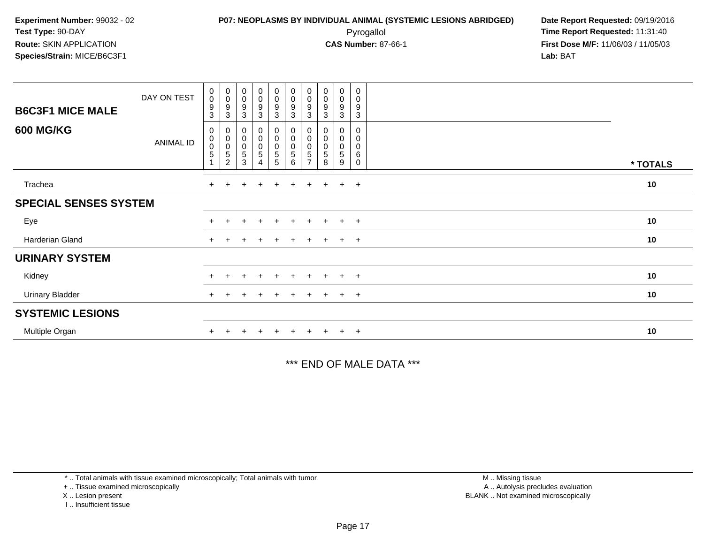**First Dose M/F:** 11/06/03 / 11/05/03<br>**Lab:** BAT **Lab:** BAT

| <b>B6C3F1 MICE MALE</b>      | DAY ON TEST | $\begin{smallmatrix} 0\\0 \end{smallmatrix}$<br>$\boldsymbol{9}$<br>3 | $_{\rm 0}^{\rm 0}$<br>$\boldsymbol{9}$<br>3                        | $_{\rm 0}^{\rm 0}$<br>$\boldsymbol{9}$<br>3    | $\begin{smallmatrix}0\0\0\9\end{smallmatrix}$<br>$\mathbf{3}$ | $_0^0$<br>$\boldsymbol{9}$<br>3 | $\begin{matrix} 0 \\ 0 \\ 9 \\ 3 \end{matrix}$          | $_{\rm 0}^{\rm 0}$<br>9<br>$\mathbf{3}$            | $\begin{smallmatrix} 0\\0 \end{smallmatrix}$<br>$\boldsymbol{9}$<br>3 | $\begin{smallmatrix} 0\\0 \end{smallmatrix}$<br>$\boldsymbol{9}$<br>$\mathbf{3}$ | $\pmb{0}$<br>0<br>9<br>3 |          |
|------------------------------|-------------|-----------------------------------------------------------------------|--------------------------------------------------------------------|------------------------------------------------|---------------------------------------------------------------|---------------------------------|---------------------------------------------------------|----------------------------------------------------|-----------------------------------------------------------------------|----------------------------------------------------------------------------------|--------------------------|----------|
| <b>600 MG/KG</b>             | ANIMAL ID   | $\mathbf 0$<br>$\pmb{0}$<br>$\overline{0}$<br>$\sqrt{5}$              | $\mathbf 0$<br>$_{\rm 0}^{\rm 0}$<br>$\mathbf 5$<br>$\overline{2}$ | 0<br>$\boldsymbol{0}$<br>$\mathbf 0$<br>5<br>3 | 0<br>$\begin{matrix} 0 \\ 0 \\ 5 \end{matrix}$<br>4           | 0<br>0<br>0<br>5<br>5           | $\begin{matrix}0\\0\\0\end{matrix}$<br>$\mathbf 5$<br>6 | 0<br>$\pmb{0}$<br>$\pmb{0}$<br>5<br>$\overline{ }$ | $\pmb{0}$<br>$\pmb{0}$<br>5<br>8                                      | 0<br>$\begin{smallmatrix}0\0\0\end{smallmatrix}$<br>$\,$ 5 $\,$<br>9             | 0<br>0<br>0<br>6<br>0    | * TOTALS |
| Trachea                      |             | $+$                                                                   | $\div$                                                             | $\div$                                         | $\ddot{}$                                                     | $\ddot{}$                       | $+$                                                     | $+$                                                | $+$                                                                   | $+$                                                                              | $+$                      | 10       |
| <b>SPECIAL SENSES SYSTEM</b> |             |                                                                       |                                                                    |                                                |                                                               |                                 |                                                         |                                                    |                                                                       |                                                                                  |                          |          |
| Eye                          |             |                                                                       |                                                                    |                                                | $\ddot{}$                                                     | $+$                             | $+$                                                     | $\pm$                                              | $+$                                                                   |                                                                                  | $+$ $+$                  | 10       |
| Harderian Gland              |             | $+$                                                                   |                                                                    |                                                | $\div$                                                        | ÷                               |                                                         |                                                    |                                                                       | $+$                                                                              | $+$                      | 10       |
| <b>URINARY SYSTEM</b>        |             |                                                                       |                                                                    |                                                |                                                               |                                 |                                                         |                                                    |                                                                       |                                                                                  |                          |          |
| Kidney                       |             |                                                                       |                                                                    |                                                | $\ddot{}$                                                     | $+$                             | $+$                                                     | $+$                                                | $+$                                                                   | $+$                                                                              | $+$                      | 10       |
| <b>Urinary Bladder</b>       |             |                                                                       |                                                                    |                                                |                                                               | +                               |                                                         |                                                    |                                                                       | $+$                                                                              | $+$                      | 10       |
| <b>SYSTEMIC LESIONS</b>      |             |                                                                       |                                                                    |                                                |                                                               |                                 |                                                         |                                                    |                                                                       |                                                                                  |                          |          |
| Multiple Organ               |             |                                                                       |                                                                    |                                                |                                                               | ÷                               |                                                         |                                                    |                                                                       | $+$                                                                              | $+$                      | 10       |

\*\*\* END OF MALE DATA \*\*\*

\* .. Total animals with tissue examined microscopically; Total animals with tumor

+ .. Tissue examined microscopically

X .. Lesion present

I .. Insufficient tissue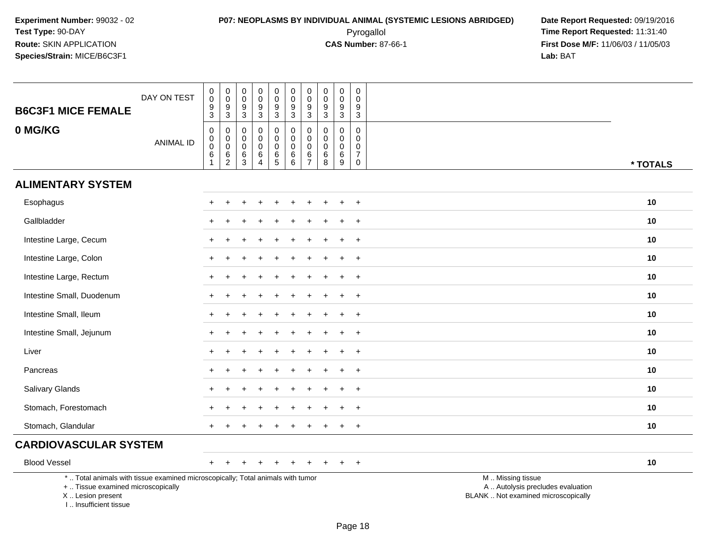# **P07: NEOPLASMS BY INDIVIDUAL ANIMAL (SYSTEMIC LESIONS ABRIDGED) Date Report Requested:** 09/19/2016 Pyrogallol **Time Report Requested:** 11:31:40

| <b>B6C3F1 MICE FEMALE</b>                                                                                                                                           | DAY ON TEST      | $\pmb{0}$<br>$\mathbf 0$<br>$\frac{9}{3}$                           | $\boldsymbol{0}$<br>$\mathsf{O}$<br>$\frac{9}{3}$                       | 0<br>0<br>9<br>3                        | $_{\rm 0}^{\rm 0}$<br>$\frac{9}{3}$                          | $\begin{smallmatrix}0\0\0\end{smallmatrix}$<br>$\boldsymbol{9}$<br>$\mathbf{3}$ | 0<br>$\mathbf 0$<br>$\boldsymbol{9}$<br>3                     | $\pmb{0}$<br>$\mathbf 0$<br>$\boldsymbol{9}$<br>$\mathbf{3}$         | 0<br>0<br>9<br>3                      | $\pmb{0}$<br>$\mathbf 0$<br>9<br>3                | 0<br>$\mathbf 0$<br>9<br>3                                                 |                                                                                               |
|---------------------------------------------------------------------------------------------------------------------------------------------------------------------|------------------|---------------------------------------------------------------------|-------------------------------------------------------------------------|-----------------------------------------|--------------------------------------------------------------|---------------------------------------------------------------------------------|---------------------------------------------------------------|----------------------------------------------------------------------|---------------------------------------|---------------------------------------------------|----------------------------------------------------------------------------|-----------------------------------------------------------------------------------------------|
| 0 MG/KG                                                                                                                                                             | <b>ANIMAL ID</b> | $\boldsymbol{0}$<br>$_{\rm 0}^{\rm 0}$<br>$\,6\,$<br>$\overline{1}$ | $\pmb{0}$<br>$\mathbf 0$<br>$\overline{0}$<br>$\,6\,$<br>$\overline{2}$ | 0<br>$\mathbf 0$<br>$\pmb{0}$<br>6<br>3 | $\mathbf 0$<br>$\pmb{0}$<br>$\pmb{0}$<br>6<br>$\overline{4}$ | $\mathbf 0$<br>0<br>$\ddot{\mathbf{0}}$<br>$\frac{6}{5}$                        | 0<br>$\mathbf 0$<br>$\mathsf{O}\xspace$<br>$\,6\,$<br>$\,6\,$ | $\pmb{0}$<br>$\mathbf 0$<br>$\mathbf 0$<br>$\,6\,$<br>$\overline{7}$ | 0<br>$\mathbf 0$<br>0<br>$\,6\,$<br>8 | $\pmb{0}$<br>$\mathbf 0$<br>$\mathbf 0$<br>6<br>9 | $\mathbf 0$<br>$\mathbf 0$<br>$\mathbf 0$<br>$\overline{7}$<br>$\mathbf 0$ | * TOTALS                                                                                      |
| <b>ALIMENTARY SYSTEM</b>                                                                                                                                            |                  |                                                                     |                                                                         |                                         |                                                              |                                                                                 |                                                               |                                                                      |                                       |                                                   |                                                                            |                                                                                               |
| Esophagus                                                                                                                                                           |                  |                                                                     |                                                                         |                                         |                                                              |                                                                                 |                                                               |                                                                      |                                       |                                                   | $\ddot{}$                                                                  | 10                                                                                            |
| Gallbladder                                                                                                                                                         |                  |                                                                     |                                                                         |                                         |                                                              |                                                                                 |                                                               |                                                                      |                                       |                                                   | $\overline{ }$                                                             | 10                                                                                            |
| Intestine Large, Cecum                                                                                                                                              |                  |                                                                     |                                                                         |                                         |                                                              |                                                                                 |                                                               |                                                                      |                                       |                                                   | $\overline{1}$                                                             | 10                                                                                            |
| Intestine Large, Colon                                                                                                                                              |                  | $+$                                                                 |                                                                         |                                         |                                                              |                                                                                 |                                                               |                                                                      |                                       |                                                   | $+$                                                                        | 10                                                                                            |
| Intestine Large, Rectum                                                                                                                                             |                  |                                                                     |                                                                         |                                         |                                                              |                                                                                 |                                                               |                                                                      |                                       |                                                   | $\overline{ }$                                                             | 10                                                                                            |
| Intestine Small, Duodenum                                                                                                                                           |                  |                                                                     |                                                                         |                                         |                                                              |                                                                                 |                                                               |                                                                      |                                       |                                                   | $\ddot{}$                                                                  | 10                                                                                            |
| Intestine Small, Ileum                                                                                                                                              |                  | $+$                                                                 |                                                                         |                                         |                                                              |                                                                                 |                                                               |                                                                      |                                       |                                                   | $+$                                                                        | 10                                                                                            |
| Intestine Small, Jejunum                                                                                                                                            |                  |                                                                     |                                                                         |                                         |                                                              |                                                                                 |                                                               |                                                                      |                                       |                                                   | $\ddot{}$                                                                  | 10                                                                                            |
| Liver                                                                                                                                                               |                  |                                                                     |                                                                         |                                         |                                                              |                                                                                 |                                                               |                                                                      |                                       |                                                   | $\overline{ }$                                                             | 10                                                                                            |
| Pancreas                                                                                                                                                            |                  |                                                                     |                                                                         |                                         |                                                              |                                                                                 |                                                               |                                                                      |                                       |                                                   | $\overline{1}$                                                             | 10                                                                                            |
| Salivary Glands                                                                                                                                                     |                  |                                                                     |                                                                         |                                         |                                                              |                                                                                 |                                                               |                                                                      |                                       |                                                   | $\overline{1}$                                                             | 10                                                                                            |
| Stomach, Forestomach                                                                                                                                                |                  |                                                                     |                                                                         |                                         |                                                              |                                                                                 |                                                               |                                                                      |                                       |                                                   | $\overline{ }$                                                             | 10                                                                                            |
| Stomach, Glandular                                                                                                                                                  |                  |                                                                     |                                                                         |                                         |                                                              |                                                                                 |                                                               |                                                                      |                                       |                                                   | $\overline{ }$                                                             | 10                                                                                            |
| <b>CARDIOVASCULAR SYSTEM</b>                                                                                                                                        |                  |                                                                     |                                                                         |                                         |                                                              |                                                                                 |                                                               |                                                                      |                                       |                                                   |                                                                            |                                                                                               |
| <b>Blood Vessel</b>                                                                                                                                                 |                  | $+$                                                                 |                                                                         |                                         |                                                              |                                                                                 |                                                               |                                                                      |                                       |                                                   | $+$                                                                        | 10                                                                                            |
| *  Total animals with tissue examined microscopically; Total animals with tumor<br>+  Tissue examined microscopically<br>X  Lesion present<br>I Insufficient tissue |                  |                                                                     |                                                                         |                                         |                                                              |                                                                                 |                                                               |                                                                      |                                       |                                                   |                                                                            | M  Missing tissue<br>A  Autolysis precludes evaluation<br>BLANK  Not examined microscopically |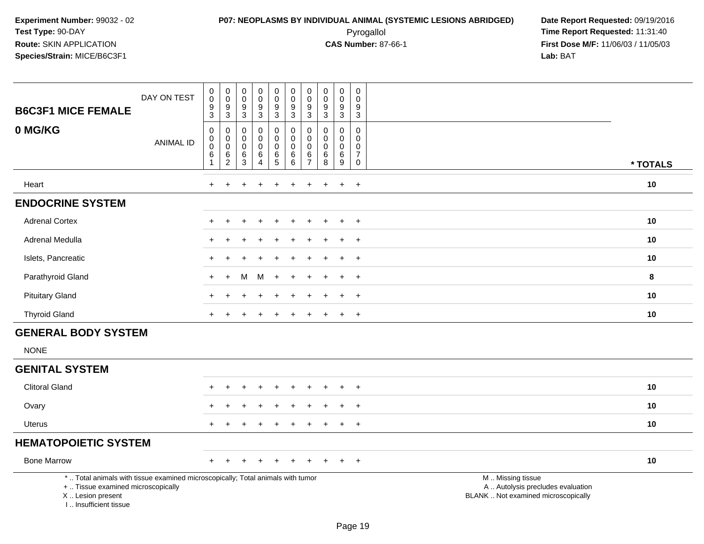# **P07: NEOPLASMS BY INDIVIDUAL ANIMAL (SYSTEMIC LESIONS ABRIDGED) Date Report Requested:** 09/19/2016 Pyrogallol **Time Report Requested:** 11:31:40

| <b>B6C3F1 MICE FEMALE</b>                                                                                                                                           | DAY ON TEST      | $\pmb{0}$<br>$\overline{0}$<br>$\boldsymbol{9}$<br>$\mathbf{3}$ | $\begin{smallmatrix} 0\\0 \end{smallmatrix}$<br>$\frac{9}{3}$                | 0<br>0<br>$\boldsymbol{9}$<br>$\ensuremath{\mathsf{3}}$ | $_{\rm 0}^{\rm 0}$<br>$\boldsymbol{9}$<br>$\mathbf{3}$               | 0<br>$\ddot{\mathbf{0}}$<br>$\boldsymbol{9}$<br>3    | $\pmb{0}$<br>$\pmb{0}$<br>$9\,$<br>$\mathbf{3}$                            | 0<br>$\mathbf 0$<br>9<br>$\mathbf{3}$        | $\mathbf 0$<br>$\mathbf 0$<br>$\boldsymbol{9}$<br>$\mathbf{3}$ | $\pmb{0}$<br>$\pmb{0}$<br>$\boldsymbol{9}$<br>$\mathbf{3}$  | $\mathbf 0$<br>$\mathbf 0$<br>9<br>$\mathbf{3}$                                    |                                                                                               |          |
|---------------------------------------------------------------------------------------------------------------------------------------------------------------------|------------------|-----------------------------------------------------------------|------------------------------------------------------------------------------|---------------------------------------------------------|----------------------------------------------------------------------|------------------------------------------------------|----------------------------------------------------------------------------|----------------------------------------------|----------------------------------------------------------------|-------------------------------------------------------------|------------------------------------------------------------------------------------|-----------------------------------------------------------------------------------------------|----------|
| 0 MG/KG                                                                                                                                                             | <b>ANIMAL ID</b> | 0<br>$\pmb{0}$<br>$\pmb{0}$<br>$\,6$<br>$\mathbf{1}$            | 0<br>$\ddot{\mathbf{0}}$<br>$\mathsf{O}\xspace$<br>$\,6\,$<br>$\overline{2}$ | $\mathbf 0$<br>0<br>$\pmb{0}$<br>6<br>$\mathfrak{S}$    | $\mathbf 0$<br>$\mathbf 0$<br>$\pmb{0}$<br>$\,6\,$<br>$\overline{4}$ | 0<br>$\overline{0}$<br>$\mathsf{O}\xspace$<br>$^6$ 5 | $\mathbf 0$<br>$\ddot{\mathbf{0}}$<br>$\boldsymbol{0}$<br>$\,6$<br>$\,6\,$ | 0<br>0<br>$\mathbf 0$<br>6<br>$\overline{7}$ | $\mathbf 0$<br>$\Omega$<br>$\mathbf 0$<br>$\,6\,$<br>8         | $\mathbf 0$<br>$\mathbf 0$<br>$\pmb{0}$<br>$\,6\,$<br>$9\,$ | $\mathbf 0$<br>$\mathbf 0$<br>$\mathbf 0$<br>$\overline{7}$<br>$\mathsf{O}\xspace$ |                                                                                               | * TOTALS |
| Heart                                                                                                                                                               |                  | $+$                                                             | $\ddot{}$                                                                    | +                                                       | $\ddot{}$                                                            | $\ddot{}$                                            | $\ddot{}$                                                                  | $\ddot{}$                                    | $\ddot{}$                                                      | $+$                                                         | $+$                                                                                |                                                                                               | 10       |
| <b>ENDOCRINE SYSTEM</b>                                                                                                                                             |                  |                                                                 |                                                                              |                                                         |                                                                      |                                                      |                                                                            |                                              |                                                                |                                                             |                                                                                    |                                                                                               |          |
| <b>Adrenal Cortex</b>                                                                                                                                               |                  |                                                                 |                                                                              |                                                         |                                                                      |                                                      |                                                                            |                                              |                                                                | $\ddot{}$                                                   | $+$                                                                                |                                                                                               | 10       |
| Adrenal Medulla                                                                                                                                                     |                  |                                                                 |                                                                              |                                                         |                                                                      |                                                      |                                                                            |                                              |                                                                | $\div$                                                      | $\ddot{}$                                                                          |                                                                                               | 10       |
| Islets, Pancreatic                                                                                                                                                  |                  |                                                                 |                                                                              |                                                         |                                                                      |                                                      |                                                                            |                                              |                                                                | $\pm$                                                       | $+$                                                                                |                                                                                               | 10       |
| Parathyroid Gland                                                                                                                                                   |                  |                                                                 | $\ddot{}$                                                                    | м                                                       | м                                                                    | $\ddot{}$                                            |                                                                            |                                              |                                                                | $\div$                                                      | $+$                                                                                |                                                                                               | 8        |
| <b>Pituitary Gland</b>                                                                                                                                              |                  |                                                                 |                                                                              |                                                         |                                                                      |                                                      |                                                                            |                                              |                                                                | ÷                                                           | $\ddot{}$                                                                          |                                                                                               | 10       |
| <b>Thyroid Gland</b>                                                                                                                                                |                  |                                                                 |                                                                              |                                                         |                                                                      |                                                      |                                                                            |                                              |                                                                | +                                                           | $\overline{+}$                                                                     |                                                                                               | 10       |
| <b>GENERAL BODY SYSTEM</b>                                                                                                                                          |                  |                                                                 |                                                                              |                                                         |                                                                      |                                                      |                                                                            |                                              |                                                                |                                                             |                                                                                    |                                                                                               |          |
| <b>NONE</b>                                                                                                                                                         |                  |                                                                 |                                                                              |                                                         |                                                                      |                                                      |                                                                            |                                              |                                                                |                                                             |                                                                                    |                                                                                               |          |
| <b>GENITAL SYSTEM</b>                                                                                                                                               |                  |                                                                 |                                                                              |                                                         |                                                                      |                                                      |                                                                            |                                              |                                                                |                                                             |                                                                                    |                                                                                               |          |
| <b>Clitoral Gland</b>                                                                                                                                               |                  |                                                                 |                                                                              |                                                         |                                                                      | $\div$                                               |                                                                            |                                              |                                                                | $\ddot{}$                                                   | $\ddot{}$                                                                          |                                                                                               | 10       |
| Ovary                                                                                                                                                               |                  |                                                                 |                                                                              |                                                         |                                                                      |                                                      |                                                                            |                                              |                                                                |                                                             | $\overline{1}$                                                                     |                                                                                               | 10       |
| Uterus                                                                                                                                                              |                  |                                                                 | $\div$                                                                       |                                                         |                                                                      |                                                      |                                                                            |                                              |                                                                | $\ddot{}$                                                   | $+$                                                                                |                                                                                               | 10       |
| <b>HEMATOPOIETIC SYSTEM</b>                                                                                                                                         |                  |                                                                 |                                                                              |                                                         |                                                                      |                                                      |                                                                            |                                              |                                                                |                                                             |                                                                                    |                                                                                               |          |
| <b>Bone Marrow</b>                                                                                                                                                  |                  |                                                                 |                                                                              |                                                         |                                                                      |                                                      |                                                                            |                                              |                                                                |                                                             | $+$                                                                                |                                                                                               | 10       |
| *  Total animals with tissue examined microscopically; Total animals with tumor<br>+  Tissue examined microscopically<br>X  Lesion present<br>I Insufficient tissue |                  |                                                                 |                                                                              |                                                         |                                                                      |                                                      |                                                                            |                                              |                                                                |                                                             |                                                                                    | M  Missing tissue<br>A  Autolysis precludes evaluation<br>BLANK  Not examined microscopically |          |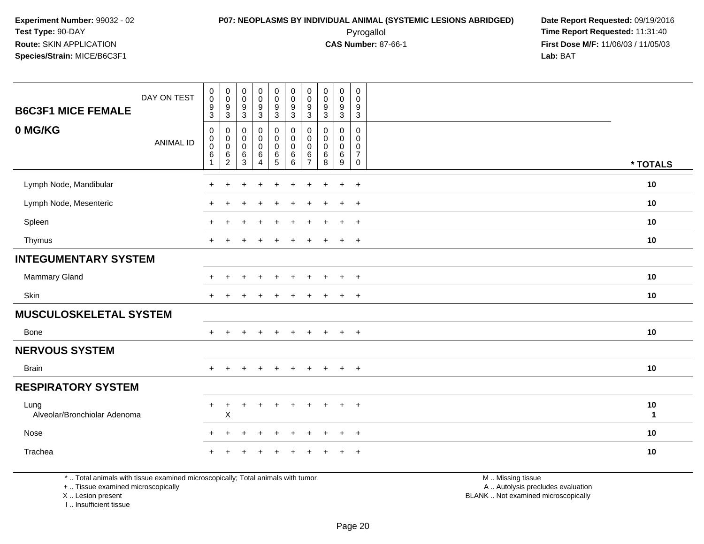### **P07: NEOPLASMS BY INDIVIDUAL ANIMAL (SYSTEMIC LESIONS ABRIDGED) Date Report Requested:** 09/19/2016 Pyrogallol **Time Report Requested:** 11:31:40

**First Dose M/F:** 11/06/03 / 11/05/03<br>Lab: BAT **Lab:** BAT

| DAY ON TEST<br><b>B6C3F1 MICE FEMALE</b> | $\begin{smallmatrix} 0\\0 \end{smallmatrix}$<br>$\frac{9}{3}$  | $\begin{smallmatrix}0\\0\end{smallmatrix}$<br>$\frac{9}{3}$      | $_{\rm 0}^{\rm 0}$<br>$\boldsymbol{9}$<br>$\mathfrak{S}$ | $\begin{array}{c} 0 \\ 0 \\ 9 \\ 3 \end{array}$                                        | 0<br>$\mathbf 0$<br>9<br>3                                | $_{\rm 0}^{\rm 0}$<br>$\frac{9}{3}$                          | $\pmb{0}$<br>$\mathbf 0$<br>$9\,$<br>$\mathbf{3}$      | $\pmb{0}$<br>$\pmb{0}$<br>$\boldsymbol{9}$<br>$\mathbf{3}$ | $\begin{smallmatrix} 0\\0 \end{smallmatrix}$<br>$\frac{9}{3}$                    | $\mathsf{O}$<br>$\mathbf 0$<br>9<br>3                |                    |
|------------------------------------------|----------------------------------------------------------------|------------------------------------------------------------------|----------------------------------------------------------|----------------------------------------------------------------------------------------|-----------------------------------------------------------|--------------------------------------------------------------|--------------------------------------------------------|------------------------------------------------------------|----------------------------------------------------------------------------------|------------------------------------------------------|--------------------|
| 0 MG/KG<br><b>ANIMAL ID</b>              | $\mathbf 0$<br>$\mathbf 0$<br>$\boldsymbol{0}$<br>$\,6\,$<br>1 | $\mathbf 0$<br>$\pmb{0}$<br>$\,0\,$<br>$\,6\,$<br>$\overline{c}$ | 0<br>$\,0\,$<br>$\mathbf 0$<br>$\,6\,$<br>3              | $\mathbf 0$<br>$\mathsf{O}\xspace$<br>$\ddot{\mathbf{0}}$<br>$\,6\,$<br>$\overline{4}$ | 0<br>$\overline{0}$<br>$\mathbf 0$<br>6<br>$\overline{5}$ | $\mathbf 0$<br>$\pmb{0}$<br>$\boldsymbol{0}$<br>$\,6\,$<br>6 | 0<br>$\mathbf 0$<br>$\mathbf 0$<br>6<br>$\overline{7}$ | $\mathbf 0$<br>$\mathbf 0$<br>$\pmb{0}$<br>6<br>8          | $\mathbf 0$<br>$\mathbf 0$<br>$\mathsf{O}\xspace$<br>$\,6\,$<br>$\boldsymbol{9}$ | 0<br>$\Omega$<br>0<br>$\overline{7}$<br>$\mathsf{O}$ | * TOTALS           |
| Lymph Node, Mandibular                   | $\ddot{}$                                                      | $\ddot{}$                                                        |                                                          |                                                                                        |                                                           |                                                              |                                                        |                                                            | $\ddot{}$                                                                        | $+$                                                  | 10                 |
| Lymph Node, Mesenteric                   |                                                                |                                                                  |                                                          |                                                                                        |                                                           |                                                              |                                                        |                                                            | $\div$                                                                           | $\overline{+}$                                       | 10                 |
| Spleen                                   |                                                                |                                                                  |                                                          |                                                                                        |                                                           |                                                              |                                                        |                                                            | $\div$                                                                           | $+$                                                  | 10                 |
| Thymus                                   | $\div$                                                         |                                                                  |                                                          |                                                                                        | ÷                                                         |                                                              |                                                        |                                                            | $\ddot{}$                                                                        | $+$                                                  | 10                 |
| <b>INTEGUMENTARY SYSTEM</b>              |                                                                |                                                                  |                                                          |                                                                                        |                                                           |                                                              |                                                        |                                                            |                                                                                  |                                                      |                    |
| Mammary Gland                            | ÷                                                              |                                                                  |                                                          |                                                                                        |                                                           |                                                              |                                                        |                                                            | $\ddot{}$                                                                        | $+$                                                  | 10                 |
| Skin                                     |                                                                |                                                                  |                                                          |                                                                                        |                                                           |                                                              |                                                        |                                                            | $\ddot{}$                                                                        | $\overline{+}$                                       | 10                 |
| <b>MUSCULOSKELETAL SYSTEM</b>            |                                                                |                                                                  |                                                          |                                                                                        |                                                           |                                                              |                                                        |                                                            |                                                                                  |                                                      |                    |
| Bone                                     | $+$                                                            |                                                                  |                                                          | $\overline{1}$                                                                         | ÷                                                         |                                                              |                                                        |                                                            | $+$                                                                              | $+$                                                  | 10                 |
| <b>NERVOUS SYSTEM</b>                    |                                                                |                                                                  |                                                          |                                                                                        |                                                           |                                                              |                                                        |                                                            |                                                                                  |                                                      |                    |
| <b>Brain</b>                             | $+$                                                            |                                                                  |                                                          |                                                                                        |                                                           |                                                              |                                                        |                                                            | $\ddot{}$                                                                        | $\ddot{}$                                            | 10                 |
| <b>RESPIRATORY SYSTEM</b>                |                                                                |                                                                  |                                                          |                                                                                        |                                                           |                                                              |                                                        |                                                            |                                                                                  |                                                      |                    |
| Lung<br>Alveolar/Bronchiolar Adenoma     | ٠                                                              | X                                                                |                                                          |                                                                                        |                                                           |                                                              |                                                        |                                                            | ÷                                                                                | $\ddot{}$                                            | 10<br>$\mathbf{1}$ |
| Nose                                     | $+$                                                            | $\ddot{}$                                                        |                                                          | $\div$                                                                                 | $\ddot{}$                                                 | $\ddot{}$                                                    | $\pm$                                                  |                                                            | $\ddot{}$                                                                        | $\overline{+}$                                       | 10                 |
| Trachea                                  |                                                                |                                                                  |                                                          |                                                                                        |                                                           |                                                              |                                                        |                                                            |                                                                                  | $\overline{+}$                                       | 10                 |

\* .. Total animals with tissue examined microscopically; Total animals with tumor

+ .. Tissue examined microscopically

X .. Lesion present

I .. Insufficient tissue

 M .. Missing tissuey the contract of the contract of the contract of the contract of the contract of the contract of the contract of  $A$ . Autolysis precludes evaluation

Lesion present BLANK .. Not examined microscopically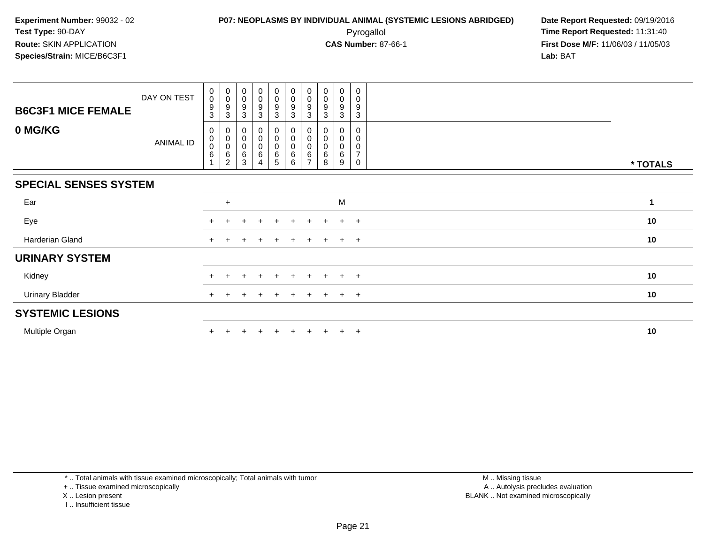**First Dose M/F:** 11/06/03 / 11/05/03<br>Lab: BAT **Lab:** BAT

| <b>B6C3F1 MICE FEMALE</b>    | DAY ON TEST | 0<br>$\pmb{0}$<br>$\boldsymbol{9}$<br>3            | $_{\rm 0}^{\rm 0}$<br>9<br>3                           | $_{\rm 0}^{\rm 0}$<br>$\boldsymbol{9}$<br>$\sqrt{3}$ | $_{\rm 0}^{\rm 0}$<br>9<br>$\mathbf{3}$ | $\begin{smallmatrix}0\0\0\end{smallmatrix}$<br>$9\,$<br>$\mathbf{3}$ | $_{\rm 0}^{\rm 0}$<br>$\frac{9}{3}$     | $\begin{smallmatrix} 0\\0 \end{smallmatrix}$<br>9<br>3 | $\begin{smallmatrix} 0\\0 \end{smallmatrix}$<br>$\boldsymbol{9}$<br>3 | $\begin{smallmatrix}0\0\0\end{smallmatrix}$<br>9<br>3      | 0<br>0<br>9<br>3                             |          |
|------------------------------|-------------|----------------------------------------------------|--------------------------------------------------------|------------------------------------------------------|-----------------------------------------|----------------------------------------------------------------------|-----------------------------------------|--------------------------------------------------------|-----------------------------------------------------------------------|------------------------------------------------------------|----------------------------------------------|----------|
| 0 MG/KG                      | ANIMAL ID   | 0<br>$_{\rm 0}^{\rm 0}$<br>$\,6$<br>$\overline{1}$ | 0<br>$\pmb{0}$<br>$\pmb{0}$<br>$\,6$<br>$\overline{2}$ | 0<br>$\pmb{0}$<br>$\mathbf 0$<br>6<br>3              | 0<br>$\pmb{0}$<br>$\pmb{0}$<br>6<br>4   | 0<br>0<br>0<br>6<br>5                                                | 0<br>$_{\rm 0}^{\rm 0}$<br>$\,6\,$<br>6 | 0<br>$\pmb{0}$<br>$\pmb{0}$<br>$\,6$<br>$\overline{ }$ | $\begin{smallmatrix}0\\0\end{smallmatrix}$<br>6<br>8                  | 0<br>$\begin{smallmatrix}0\0\0\end{smallmatrix}$<br>6<br>9 | 0<br>0<br>0<br>$\overline{7}$<br>$\mathbf 0$ | * TOTALS |
| <b>SPECIAL SENSES SYSTEM</b> |             |                                                    |                                                        |                                                      |                                         |                                                                      |                                         |                                                        |                                                                       |                                                            |                                              |          |
| Ear                          |             |                                                    | $\ddot{}$                                              |                                                      |                                         |                                                                      |                                         |                                                        |                                                                       | M                                                          |                                              | 1        |
| Eye                          |             |                                                    |                                                        |                                                      | $\div$                                  | $\pm$                                                                | $\ddot{}$                               | $\pm$                                                  |                                                                       | $+$                                                        | $+$                                          | 10       |
| Harderian Gland              |             | $\pm$                                              |                                                        |                                                      |                                         |                                                                      |                                         |                                                        |                                                                       | $\ddot{}$                                                  | $+$                                          | 10       |
| <b>URINARY SYSTEM</b>        |             |                                                    |                                                        |                                                      |                                         |                                                                      |                                         |                                                        |                                                                       |                                                            |                                              |          |
| Kidney                       |             |                                                    |                                                        |                                                      | $\pm$                                   | $\pm$                                                                | $+$                                     | $\pm$                                                  | $+$                                                                   | $+$                                                        | $+$                                          | 10       |
| <b>Urinary Bladder</b>       |             | $+$                                                |                                                        |                                                      |                                         | +                                                                    |                                         |                                                        |                                                                       | $+$                                                        | $+$                                          | 10       |
| <b>SYSTEMIC LESIONS</b>      |             |                                                    |                                                        |                                                      |                                         |                                                                      |                                         |                                                        |                                                                       |                                                            |                                              |          |
| Multiple Organ               |             |                                                    |                                                        |                                                      |                                         |                                                                      |                                         |                                                        |                                                                       | $+$                                                        | $+$                                          | 10       |

\* .. Total animals with tissue examined microscopically; Total animals with tumor

+ .. Tissue examined microscopically

X .. Lesion present

I .. Insufficient tissue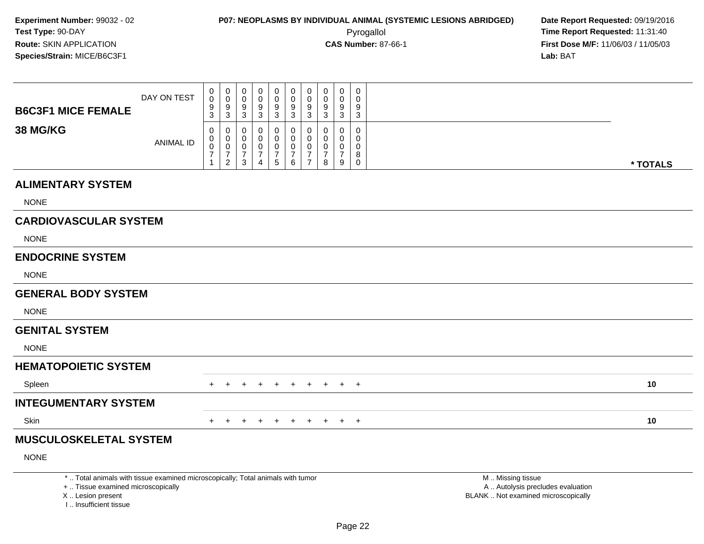**First Dose M/F:** 11/06/03 / 11/05/03<br>**Lab:** BAT **Lab:** BAT

| <b>B6C3F1 MICE FEMALE</b>    | DAY ON TEST | 0<br>$\mathbf 0$<br>9<br>3              | $_{\rm 0}^{\rm 0}$<br>9<br>3                                          | 0<br>0<br>9<br>3                   | 0<br>0<br>9<br>3      | 0<br>9<br>3      | 0<br>$\pmb{0}$<br>9<br>3                   | 0<br>0<br>9<br>3                                | $\begin{smallmatrix} 0\\0 \end{smallmatrix}$<br>$\boldsymbol{9}$<br>3 | 0<br>0<br>9<br>3      | $\mathbf 0$<br>0<br>9<br>3                |          |  |
|------------------------------|-------------|-----------------------------------------|-----------------------------------------------------------------------|------------------------------------|-----------------------|------------------|--------------------------------------------|-------------------------------------------------|-----------------------------------------------------------------------|-----------------------|-------------------------------------------|----------|--|
| <b>38 MG/KG</b>              | ANIMAL ID   | 0<br>0<br>$\mathsf 0$<br>$\overline{7}$ | 0<br>$_{\rm 0}^{\rm 0}$<br>$\overline{\mathcal{I}}$<br>$\overline{2}$ | 0<br>0<br>0<br>$\overline{7}$<br>3 | 0<br>0<br>0<br>7<br>4 | 0<br>0<br>7<br>5 | 0<br>$\pmb{0}$<br>0<br>$\overline{7}$<br>6 | 0<br>0<br>0<br>$\overline{7}$<br>$\overline{7}$ | 0<br>$\pmb{0}$<br>$\mathbf 0$<br>$\overline{7}$<br>8                  | 0<br>0<br>0<br>7<br>9 | $\mathbf 0$<br>0<br>0<br>8<br>$\mathbf 0$ | * TOTALS |  |
| <b>ALIMENTARY SYSTEM</b>     |             |                                         |                                                                       |                                    |                       |                  |                                            |                                                 |                                                                       |                       |                                           |          |  |
| <b>NONE</b>                  |             |                                         |                                                                       |                                    |                       |                  |                                            |                                                 |                                                                       |                       |                                           |          |  |
| <b>CARDIOVASCULAR SYSTEM</b> |             |                                         |                                                                       |                                    |                       |                  |                                            |                                                 |                                                                       |                       |                                           |          |  |
| <b>NONE</b>                  |             |                                         |                                                                       |                                    |                       |                  |                                            |                                                 |                                                                       |                       |                                           |          |  |
| <b>ENDOCRINE SYSTEM</b>      |             |                                         |                                                                       |                                    |                       |                  |                                            |                                                 |                                                                       |                       |                                           |          |  |
| <b>NONE</b>                  |             |                                         |                                                                       |                                    |                       |                  |                                            |                                                 |                                                                       |                       |                                           |          |  |
| <b>GENERAL BODY SYSTEM</b>   |             |                                         |                                                                       |                                    |                       |                  |                                            |                                                 |                                                                       |                       |                                           |          |  |
| <b>NONE</b>                  |             |                                         |                                                                       |                                    |                       |                  |                                            |                                                 |                                                                       |                       |                                           |          |  |
| <b>GENITAL SYSTEM</b>        |             |                                         |                                                                       |                                    |                       |                  |                                            |                                                 |                                                                       |                       |                                           |          |  |
| <b>NONE</b>                  |             |                                         |                                                                       |                                    |                       |                  |                                            |                                                 |                                                                       |                       |                                           |          |  |
| <b>UCMATODOICTIC CVCTEM</b>  |             |                                         |                                                                       |                                    |                       |                  |                                            |                                                 |                                                                       |                       |                                           |          |  |

#### **HEMATOPOIETIC SYSTEM**Spleenn  $+$  <sup>+</sup> <sup>+</sup> <sup>+</sup> <sup>+</sup> <sup>+</sup> <sup>+</sup> <sup>+</sup> <sup>+</sup> <sup>+</sup> **<sup>10</sup> INTEGUMENTARY SYSTEM**

Skinn  $+$ 

<sup>+</sup> <sup>+</sup> <sup>+</sup> <sup>+</sup> <sup>+</sup> <sup>+</sup> <sup>+</sup> <sup>+</sup> <sup>+</sup> **<sup>10</sup>**

### **MUSCULOSKELETAL SYSTEM**

NONE

\* .. Total animals with tissue examined microscopically; Total animals with tumor

+ .. Tissue examined microscopically

X .. Lesion present

I .. Insufficient tissue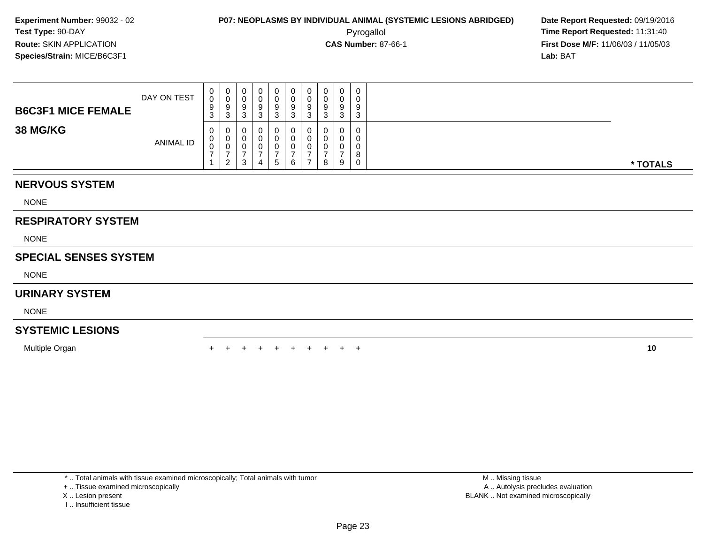**First Dose M/F:** 11/06/03 / 11/05/03<br>**Lab:** BAT **Lab:** BAT

| <b>B6C3F1 MICE FEMALE</b> | DAY ON TEST      | U<br>$\sim$<br>9<br>◠<br>J. | U<br>3              | U<br>u<br>9<br>đ | -9 | 0<br>9<br>3 | 0<br>0<br>9<br>ົ<br>◡ | g<br>w | د | 0<br>g<br>J | $\mathbf{0}$<br>0<br>9<br>3                 |          |
|---------------------------|------------------|-----------------------------|---------------------|------------------|----|-------------|-----------------------|--------|---|-------------|---------------------------------------------|----------|
| <b>38 MG/KG</b>           | <b>ANIMAL ID</b> | 0<br>v<br>υ                 | U<br>$\overline{2}$ | U<br>υ<br>v<br>3 | 4  | 0<br>. ჯე   | 0<br>0<br>0<br>6      |        | 8 | 0<br>9      | 0<br>0<br>0<br>Ω<br>$\circ$<br>$\mathbf{0}$ | * TOTALS |

### **NERVOUS SYSTEM**

NONE

### **RESPIRATORY SYSTEM**

NONE

### **SPECIAL SENSES SYSTEM**

NONE

### **URINARY SYSTEM**

NONE

### **SYSTEMIC LESIONS**

Multiple Organn  $+$ 

<sup>+</sup> <sup>+</sup> <sup>+</sup> <sup>+</sup> <sup>+</sup> <sup>+</sup> <sup>+</sup> <sup>+</sup> <sup>+</sup> **<sup>10</sup>**

\* .. Total animals with tissue examined microscopically; Total animals with tumor

+ .. Tissue examined microscopically

- X .. Lesion present
- I .. Insufficient tissue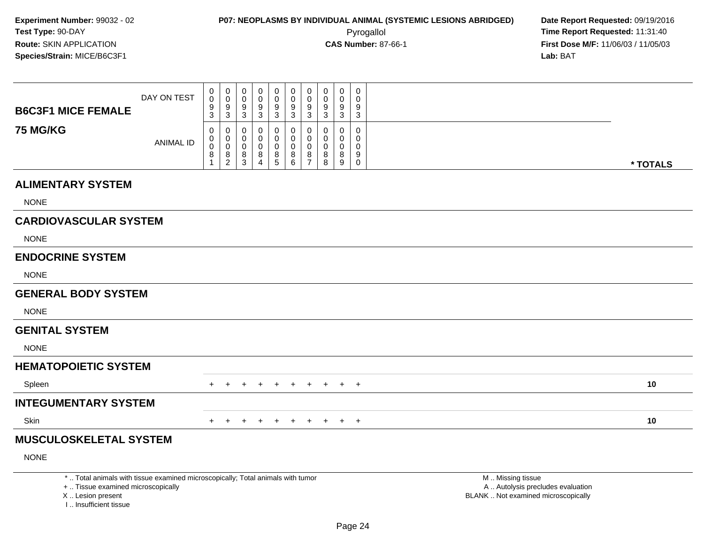**First Dose M/F:** 11/06/03 / 11/05/03<br>Lab: BAT **Lab:** BAT

| <b>B6C3F1 MICE FEMALE</b>    | DAY ON TEST      | 0<br>0<br>9      | 0<br>$\mathbf 0$<br>9 | 0<br>0<br>9 | 0<br>0<br>9  | 0<br>$\pmb{0}$<br>9 | 0<br>$\mathbf 0$<br>9 | 0<br>$\pmb{0}$<br>$9\,$            | 0<br>0<br>9  | 0<br>0<br>9        | 0<br>0<br>9 |          |
|------------------------------|------------------|------------------|-----------------------|-------------|--------------|---------------------|-----------------------|------------------------------------|--------------|--------------------|-------------|----------|
|                              |                  | 3                | 3                     | 3           | $\mathbf{3}$ | $\mathbf{3}$        | 3                     | $\mathbf{3}$                       | $\mathbf{3}$ | 3                  | 3           |          |
| <b>75 MG/KG</b>              | <b>ANIMAL ID</b> | 0<br>0           | 0<br>0                | 0<br>0      | 0<br>0       | 0<br>0              | 0<br>$\mathbf 0$      | $\mathbf 0$<br>$\mathbf 0$         | 0<br>0       | $\Omega$<br>0      | 0<br>0      |          |
|                              |                  | $\mathbf 0$<br>8 | $\mathbf 0$<br>8      | 0<br>8<br>3 | 0<br>8<br>4  | 0<br>$^8$ 5         | 0<br>$\frac{8}{6}$    | $\mathbf 0$<br>8<br>$\overline{7}$ | 0<br>8<br>8  | $\Omega$<br>8<br>9 | 0<br>9      |          |
|                              |                  |                  | $\overline{2}$        |             |              |                     |                       |                                    |              |                    | 0           | * TOTALS |
| <b>ALIMENTARY SYSTEM</b>     |                  |                  |                       |             |              |                     |                       |                                    |              |                    |             |          |
| <b>NONE</b>                  |                  |                  |                       |             |              |                     |                       |                                    |              |                    |             |          |
| <b>CARDIOVASCULAR SYSTEM</b> |                  |                  |                       |             |              |                     |                       |                                    |              |                    |             |          |
| <b>NONE</b>                  |                  |                  |                       |             |              |                     |                       |                                    |              |                    |             |          |
| <b>ENDOCRINE SYSTEM</b>      |                  |                  |                       |             |              |                     |                       |                                    |              |                    |             |          |
| <b>NONE</b>                  |                  |                  |                       |             |              |                     |                       |                                    |              |                    |             |          |
| <b>GENERAL BODY SYSTEM</b>   |                  |                  |                       |             |              |                     |                       |                                    |              |                    |             |          |
| <b>NONE</b>                  |                  |                  |                       |             |              |                     |                       |                                    |              |                    |             |          |
| <b>GENITAL SYSTEM</b>        |                  |                  |                       |             |              |                     |                       |                                    |              |                    |             |          |
| <b>NONE</b>                  |                  |                  |                       |             |              |                     |                       |                                    |              |                    |             |          |
| <b>HEMATOPOIETIC SYSTEM</b>  |                  |                  |                       |             |              |                     |                       |                                    |              |                    |             |          |
| Spleen                       |                  | $^+$             | $\ddot{}$             | $\ddot{}$   | $\ddot{}$    | $+$                 | $+$                   | $+$                                | $+$          |                    | $+$ $+$     | 10       |
| <b>INTEGUMENTARY SYSTEM</b>  |                  |                  |                       |             |              |                     |                       |                                    |              |                    |             |          |
| Skin                         |                  |                  | $+$ $+$               | $+$         | $+$          |                     | $+ + +$               |                                    |              | $+$ $+$ $+$        |             | 10       |
| MUSCULOSKELETAL SYSTEM       |                  |                  |                       |             |              |                     |                       |                                    |              |                    |             |          |
| <b>NONE</b>                  |                  |                  |                       |             |              |                     |                       |                                    |              |                    |             |          |
|                              |                  |                  |                       |             |              |                     |                       |                                    |              |                    |             |          |

\* .. Total animals with tissue examined microscopically; Total animals with tumor

+ .. Tissue examined microscopically

X .. Lesion present

I .. Insufficient tissue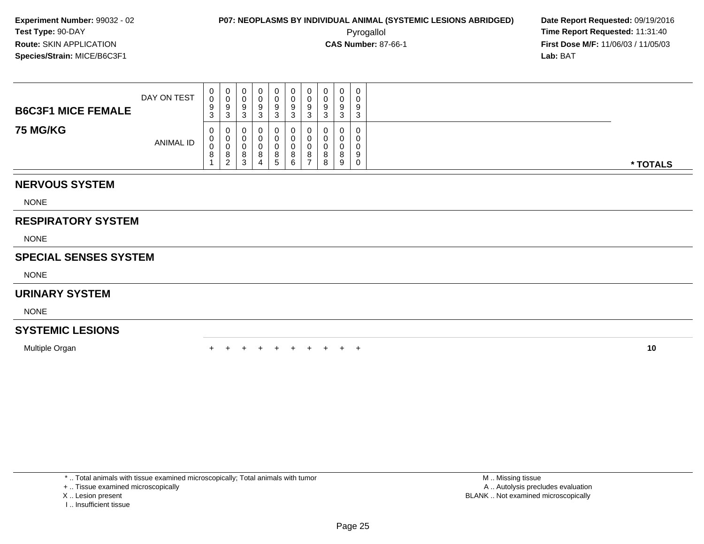**First Dose M/F:** 11/06/03 / 11/05/03<br>**Lab:** BAT **Lab:** BAT

| <b>B6C3F1 MICE FEMALE</b> | DAY ON TEST      | ◡      | U<br>u<br>N           | U<br>U<br>У<br>w                  | 0<br>9           | 0<br>0<br>9<br>3 | 0<br>υ<br>9<br>⌒<br>ت | u<br>u<br>9 | 9<br>◠       | $\overline{0}$<br>0<br>9<br>3 |          |
|---------------------------|------------------|--------|-----------------------|-----------------------------------|------------------|------------------|-----------------------|-------------|--------------|-------------------------------|----------|
| <b>75 MG/KG</b>           | <b>ANIMAL ID</b> | ◡<br>o | 0<br>ັ<br>O<br>2<br>ے | U<br>U<br>о<br>o<br>◠<br><b>ت</b> | 0<br>0<br>O<br>4 | 0<br>8<br>b.     | 0<br>υ<br>8<br>6      | 0<br>8<br>8 | $\circ$<br>9 | 0<br>0<br>0<br>- 9<br>0       | * TOTALS |

### **NERVOUS SYSTEM**

NONE

### **RESPIRATORY SYSTEM**

NONE

### **SPECIAL SENSES SYSTEM**

NONE

### **URINARY SYSTEM**

NONE

### **SYSTEMIC LESIONS**

Multiple Organn  $+$ 

<sup>+</sup> <sup>+</sup> <sup>+</sup> <sup>+</sup> <sup>+</sup> <sup>+</sup> <sup>+</sup> <sup>+</sup> <sup>+</sup> **<sup>10</sup>**

\* .. Total animals with tissue examined microscopically; Total animals with tumor

+ .. Tissue examined microscopically

- X .. Lesion present
- I .. Insufficient tissue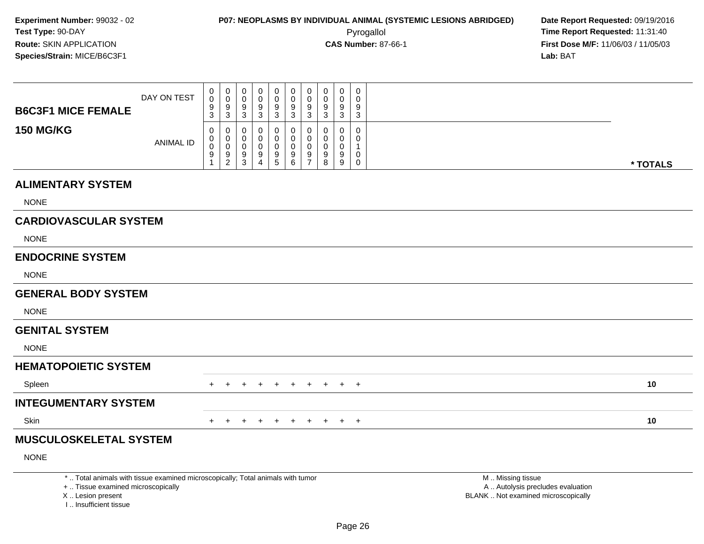**First Dose M/F:** 11/06/03 / 11/05/03<br>**Lab:** BAT **Lab:** BAT

| <b>B6C3F1 MICE FEMALE</b>    | DAY ON TEST | 0<br>$\mathbf 0$<br>9<br>3 | $_{0}^{0}$<br>9<br>3                             | 0<br>$\pmb{0}$<br>9<br>3 | 0<br>0<br>9<br>3 | 0<br>9<br>3 | 0<br>$\pmb{0}$<br>9<br>$\sqrt{3}$ | 0<br>$\pmb{0}$<br>9<br>$\mathbf{3}$ | $\begin{matrix} 0 \\ 0 \end{matrix}$<br>$\boldsymbol{9}$<br>$\mathbf{3}$ | 0<br>0<br>9<br>3 | $\boldsymbol{0}$<br>0<br>9<br>3                     |          |
|------------------------------|-------------|----------------------------|--------------------------------------------------|--------------------------|------------------|-------------|-----------------------------------|-------------------------------------|--------------------------------------------------------------------------|------------------|-----------------------------------------------------|----------|
| <b>150 MG/KG</b>             | ANIMAL ID   | 0<br>0<br>$\mathbf 0$<br>9 | 0<br>$\,0\,$<br>$\pmb{0}$<br>9<br>$\overline{c}$ | 0<br>0<br>0<br>9<br>3    | 0<br>0<br>9<br>4 | 9<br>5      | 0<br>0<br>0<br>9<br>6             | 0<br>0<br>0<br>9<br>$\overline{7}$  | 0<br>$\pmb{0}$<br>$\boldsymbol{0}$<br>$\boldsymbol{9}$<br>8              | 0<br>0<br>9<br>9 | $\mathbf 0$<br>0<br>1<br>$\mathbf 0$<br>$\mathbf 0$ | * TOTALS |
| <b>ALIMENTARY SYSTEM</b>     |             |                            |                                                  |                          |                  |             |                                   |                                     |                                                                          |                  |                                                     |          |
| <b>NONE</b>                  |             |                            |                                                  |                          |                  |             |                                   |                                     |                                                                          |                  |                                                     |          |
| <b>CARDIOVASCULAR SYSTEM</b> |             |                            |                                                  |                          |                  |             |                                   |                                     |                                                                          |                  |                                                     |          |
| <b>NONE</b>                  |             |                            |                                                  |                          |                  |             |                                   |                                     |                                                                          |                  |                                                     |          |
| <b>ENDOCRINE SYSTEM</b>      |             |                            |                                                  |                          |                  |             |                                   |                                     |                                                                          |                  |                                                     |          |
| <b>NONE</b>                  |             |                            |                                                  |                          |                  |             |                                   |                                     |                                                                          |                  |                                                     |          |
| <b>GENERAL BODY SYSTEM</b>   |             |                            |                                                  |                          |                  |             |                                   |                                     |                                                                          |                  |                                                     |          |
| <b>NONE</b>                  |             |                            |                                                  |                          |                  |             |                                   |                                     |                                                                          |                  |                                                     |          |
| <b>GENITAL SYSTEM</b>        |             |                            |                                                  |                          |                  |             |                                   |                                     |                                                                          |                  |                                                     |          |

NONE

#### **HEMATOPOIETIC SYSTEM**

| Spleen               |  |  |  |  | + + + + + + + + + + | 10 |
|----------------------|--|--|--|--|---------------------|----|
| INTEGUMENTARY SYSTEM |  |  |  |  |                     |    |
| Skin                 |  |  |  |  | + + + + + + + + + + | 10 |

### **MUSCULOSKELETAL SYSTEM**

NONE

\* .. Total animals with tissue examined microscopically; Total animals with tumor

+ .. Tissue examined microscopically

X .. Lesion present

I .. Insufficient tissue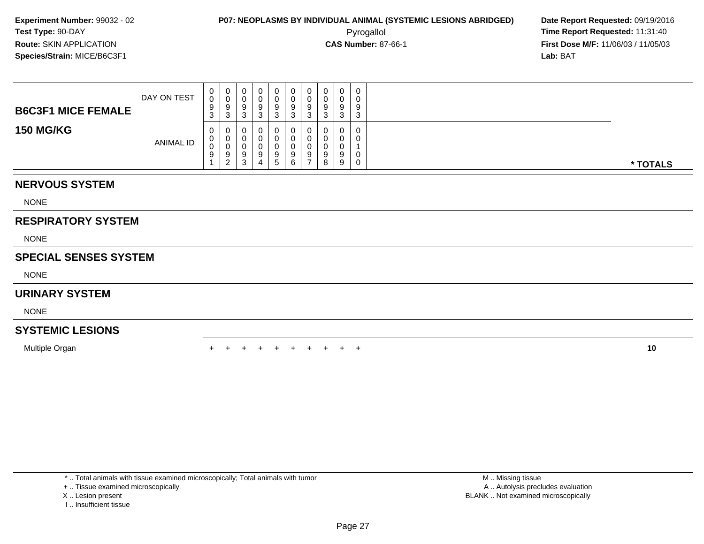Pyrogallol **Time Report Requested:** 11:31:40 **First Dose M/F:** 11/06/03 / 11/05/03<br>**Lab:** BAT **Lab:** BAT

| <b>B6C3F1 MICE FEMALE</b> | DAY ON TEST | 0<br>0<br>9<br>ົ<br>J. | c<br>- ఎ | ◡<br>U<br>د | U<br>చ<br>w | 0<br>9<br>ు                 | U<br>v<br>9<br>ົ<br>ື | 0<br>υ<br>9<br>3 | ື | 0<br>$\Omega$<br>J | 0<br>U<br>9<br>3            |          |
|---------------------------|-------------|------------------------|----------|-------------|-------------|-----------------------------|-----------------------|------------------|---|--------------------|-----------------------------|----------|
| <b>150 MG/KG</b>          | ANIMAL ID   | 0<br>0<br>0<br>9       | У        | U<br>9<br>ۍ | ч           | 0<br>O<br>9<br><sub>5</sub> | U<br>υ<br>9.<br>ь     | 0<br>υ<br>9      |   | u<br>u<br>a<br>9   | 0<br>U<br>0<br>$\mathbf{0}$ | * TOTALS |

### **NERVOUS SYSTEM**

NONE

### **RESPIRATORY SYSTEM**

NONE

### **SPECIAL SENSES SYSTEM**

NONE

### **URINARY SYSTEM**

NONE

### **SYSTEMIC LESIONS**

Multiple Organn  $+$ 

<sup>+</sup> <sup>+</sup> <sup>+</sup> <sup>+</sup> <sup>+</sup> <sup>+</sup> <sup>+</sup> <sup>+</sup> <sup>+</sup> **<sup>10</sup>**

\* .. Total animals with tissue examined microscopically; Total animals with tumor

+ .. Tissue examined microscopically

X .. Lesion present

I .. Insufficient tissue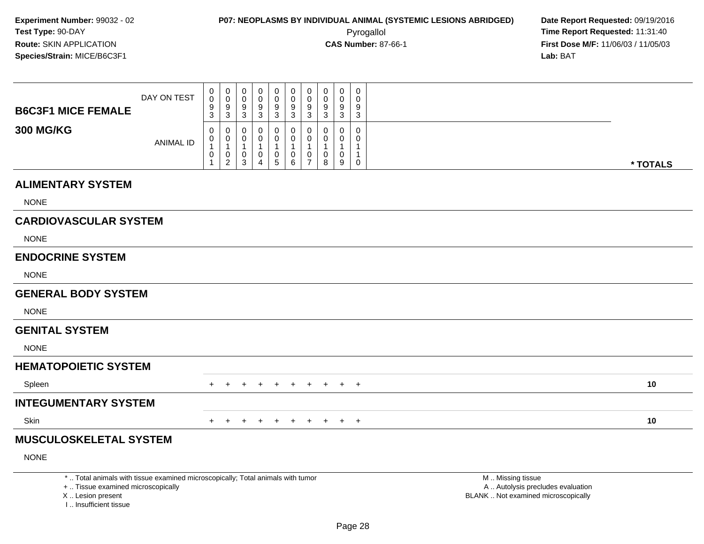**First Dose M/F:** 11/06/03 / 11/05/03<br>**Lab:** BAT **Lab:** BAT

| <b>B6C3F1 MICE FEMALE</b>    | DAY ON TEST | $_0^0$<br>$\frac{9}{3}$                                             | $\mathbf 0$<br>$\mathbf 0$<br>$^9_3$                             | 0<br>0<br>9<br>$\mathbf{3}$              | 0<br>0<br>9<br>3      | 0<br>0<br>9<br>3      | 0<br>0<br>9<br>$\sqrt{3}$  | 0<br>$\mathbf 0$<br>9<br>3          | 0<br>$\pmb{0}$<br>9<br>$\overline{3}$ | 0<br>0<br>$9\,$<br>$\mathbf{3}$ | $\mathbf 0$<br>0<br>9<br>$\sqrt{3}$                  |          |
|------------------------------|-------------|---------------------------------------------------------------------|------------------------------------------------------------------|------------------------------------------|-----------------------|-----------------------|----------------------------|-------------------------------------|---------------------------------------|---------------------------------|------------------------------------------------------|----------|
| <b>300 MG/KG</b>             | ANIMAL ID   | 0<br>$\pmb{0}$<br>$\mathbf{1}$<br>$\pmb{0}$<br>$\blacktriangleleft$ | 0<br>$\boldsymbol{0}$<br>$\overline{1}$<br>$\boldsymbol{0}$<br>2 | 0<br>0<br>$\mathbf{1}$<br>$\pmb{0}$<br>3 | 0<br>0<br>1<br>0<br>4 | 0<br>0<br>1<br>0<br>5 | 0<br>0<br>$\mathbf 0$<br>6 | 0<br>0<br>-1<br>0<br>$\overline{7}$ | 0<br>0<br>1<br>$\pmb{0}$<br>8         | 0<br>0<br>0<br>9                | 0<br>0<br>$\mathbf 1$<br>$\mathbf{1}$<br>$\mathbf 0$ | * TOTALS |
| <b>ALIMENTARY SYSTEM</b>     |             |                                                                     |                                                                  |                                          |                       |                       |                            |                                     |                                       |                                 |                                                      |          |
| <b>NONE</b>                  |             |                                                                     |                                                                  |                                          |                       |                       |                            |                                     |                                       |                                 |                                                      |          |
| <b>CARDIOVASCULAR SYSTEM</b> |             |                                                                     |                                                                  |                                          |                       |                       |                            |                                     |                                       |                                 |                                                      |          |
| <b>NONE</b>                  |             |                                                                     |                                                                  |                                          |                       |                       |                            |                                     |                                       |                                 |                                                      |          |
| <b>ENDOCRINE SYSTEM</b>      |             |                                                                     |                                                                  |                                          |                       |                       |                            |                                     |                                       |                                 |                                                      |          |
| <b>NONE</b>                  |             |                                                                     |                                                                  |                                          |                       |                       |                            |                                     |                                       |                                 |                                                      |          |
| <b>GENERAL BODY SYSTEM</b>   |             |                                                                     |                                                                  |                                          |                       |                       |                            |                                     |                                       |                                 |                                                      |          |
| <b>NONE</b>                  |             |                                                                     |                                                                  |                                          |                       |                       |                            |                                     |                                       |                                 |                                                      |          |
| <b>GENITAL SYSTEM</b>        |             |                                                                     |                                                                  |                                          |                       |                       |                            |                                     |                                       |                                 |                                                      |          |
| <b>NONE</b>                  |             |                                                                     |                                                                  |                                          |                       |                       |                            |                                     |                                       |                                 |                                                      |          |
| <b>HEMATOPOIETIC SYSTEM</b>  |             |                                                                     |                                                                  |                                          |                       |                       |                            |                                     |                                       |                                 |                                                      |          |
| Spleen                       |             |                                                                     |                                                                  |                                          |                       |                       | $\div$                     | $+$                                 | $+$                                   |                                 | $+$ $+$                                              | 10       |
| INITE CURRENT A DV CVCTEM    |             |                                                                     |                                                                  |                                          |                       |                       |                            |                                     |                                       |                                 |                                                      |          |

#### **INTEGUMENTARY SYSTEM**

Skinn  $+$ 

<sup>+</sup> <sup>+</sup> <sup>+</sup> <sup>+</sup> <sup>+</sup> <sup>+</sup> <sup>+</sup> <sup>+</sup> <sup>+</sup> **<sup>10</sup>**

### **MUSCULOSKELETAL SYSTEM**

NONE

\* .. Total animals with tissue examined microscopically; Total animals with tumor

+ .. Tissue examined microscopically

X .. Lesion present

I .. Insufficient tissue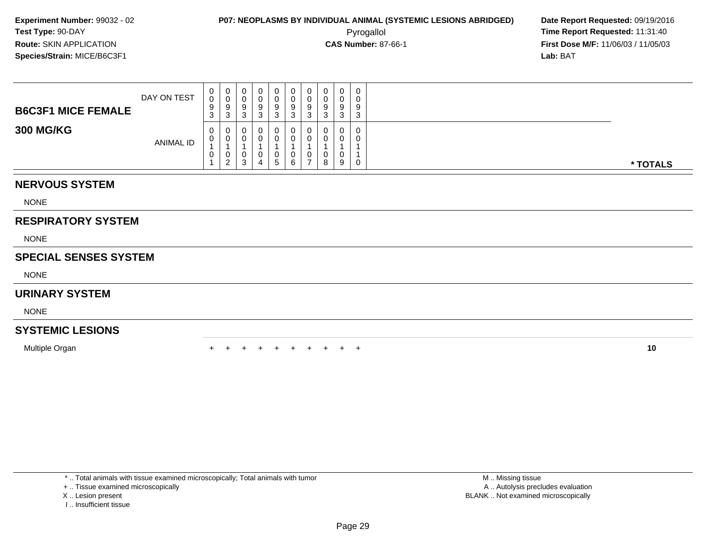**First Dose M/F:** 11/06/03 / 11/05/03<br>**Lab:** BAT **Lab:** BAT

| <b>B6C3F1 MICE FEMALE</b> | DAY ON TEST      | v.<br>$\sim$<br>$\sim$<br>ت | U<br>J<br>9<br>3      | 0<br>9<br>3      | 0<br>9<br><b>ت</b> | 0<br>0<br>9<br>3            | a | × | 0<br>u<br>9<br>J | 0<br>9 | 0<br>0<br>-9<br>3 |          |
|---------------------------|------------------|-----------------------------|-----------------------|------------------|--------------------|-----------------------------|---|---|------------------|--------|-------------------|----------|
| <b>300 MG/KG</b>          | <b>ANIMAL ID</b> | v.<br>v<br>◡                | v<br>0<br>v<br>റ<br>▃ | 0<br>0<br>U<br>3 | 0<br>0<br>U<br>4   | 0<br>0<br>0<br><sub>5</sub> |   |   | U<br>U<br>U<br>8 | O<br>9 | 0<br>0<br>0       | * TOTALS |

### **NERVOUS SYSTEM**

NONE

### **RESPIRATORY SYSTEM**

NONE

### **SPECIAL SENSES SYSTEM**

NONE

### **URINARY SYSTEM**

NONE

### **SYSTEMIC LESIONS**

Multiple Organn  $+$ 

<sup>+</sup> <sup>+</sup> <sup>+</sup> <sup>+</sup> <sup>+</sup> <sup>+</sup> <sup>+</sup> <sup>+</sup> <sup>+</sup> **<sup>10</sup>**

\* .. Total animals with tissue examined microscopically; Total animals with tumor

+ .. Tissue examined microscopically

X .. Lesion present

I .. Insufficient tissue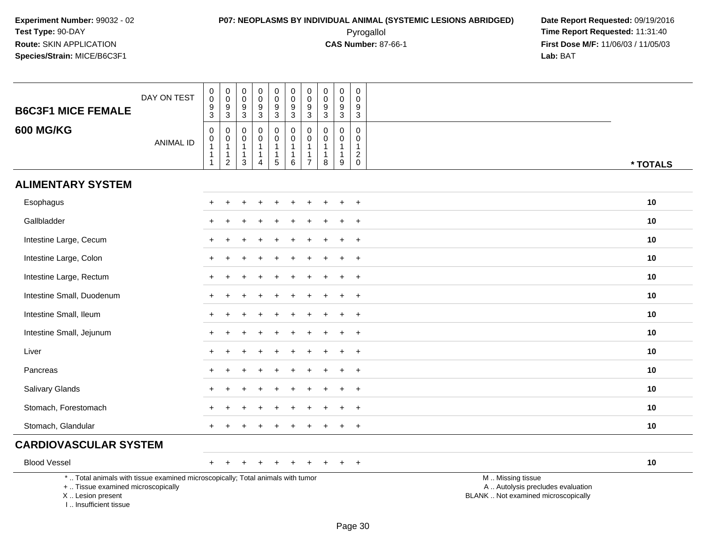# **P07: NEOPLASMS BY INDIVIDUAL ANIMAL (SYSTEMIC LESIONS ABRIDGED) Date Report Requested:** 09/19/2016 Pyrogallol **Time Report Requested:** 11:31:40

| <b>B6C3F1 MICE FEMALE</b>                                                                                                                                           | DAY ON TEST      | $\pmb{0}$<br>$\ddot{\mathbf{0}}$<br>$\frac{9}{3}$ | $_{\rm 0}^{\rm 0}$<br>$\frac{9}{3}$                                                         | 0<br>$\mathsf 0$<br>9<br>3                            | $\pmb{0}$<br>$\pmb{0}$<br>$9\,$<br>$\sqrt{3}$                             | $\boldsymbol{0}$<br>$\mathbf 0$<br>9<br>$\mathbf{3}$ | $\pmb{0}$<br>$\ddot{\mathbf{0}}$<br>$\boldsymbol{9}$<br>$\overline{3}$ | $\pmb{0}$<br>$\ddot{\mathbf{0}}$<br>$\boldsymbol{9}$<br>$\overline{3}$     | $\mathbf 0$<br>$\mathbf 0$<br>9<br>$\overline{3}$        | $\mathbf 0$<br>$\overline{0}$<br>9<br>$\mathbf 3$              | 0<br>$\mathbf 0$<br>9<br>$\sqrt{3}$                               |                                                                                               |  |
|---------------------------------------------------------------------------------------------------------------------------------------------------------------------|------------------|---------------------------------------------------|---------------------------------------------------------------------------------------------|-------------------------------------------------------|---------------------------------------------------------------------------|------------------------------------------------------|------------------------------------------------------------------------|----------------------------------------------------------------------------|----------------------------------------------------------|----------------------------------------------------------------|-------------------------------------------------------------------|-----------------------------------------------------------------------------------------------|--|
| <b>600 MG/KG</b>                                                                                                                                                    | <b>ANIMAL ID</b> | $\mathbf 0$<br>$\pmb{0}$<br>1<br>-1               | $\pmb{0}$<br>$\begin{smallmatrix}0\\1\end{smallmatrix}$<br>$\overline{1}$<br>$\overline{2}$ | $\mathbf 0$<br>0<br>$\mathbf{1}$<br>$\mathbf{1}$<br>3 | $\Omega$<br>$\mathbf 0$<br>$\mathbf{1}$<br>$\mathbf{1}$<br>$\overline{4}$ | $\mathbf 0$<br>0<br>$\mathbf{1}$<br>1<br>5           | 0<br>$\pmb{0}$<br>$\mathbf{1}$<br>$\mathbf{1}$<br>6                    | $\mathbf 0$<br>$\pmb{0}$<br>$\mathbf{1}$<br>$\mathbf{1}$<br>$\overline{7}$ | $\mathbf{0}$<br>$\mathbf 0$<br>$\overline{1}$<br>-1<br>8 | $\mathbf 0$<br>$\mathbf 0$<br>$\mathbf{1}$<br>$\mathbf 1$<br>9 | 0<br>$\mathbf 0$<br>$\mathbf{1}$<br>$\overline{c}$<br>$\mathbf 0$ | * TOTALS                                                                                      |  |
| <b>ALIMENTARY SYSTEM</b>                                                                                                                                            |                  |                                                   |                                                                                             |                                                       |                                                                           |                                                      |                                                                        |                                                                            |                                                          |                                                                |                                                                   |                                                                                               |  |
| Esophagus                                                                                                                                                           |                  | $\pm$                                             |                                                                                             |                                                       |                                                                           |                                                      |                                                                        |                                                                            |                                                          |                                                                | $+$                                                               | 10                                                                                            |  |
| Gallbladder                                                                                                                                                         |                  |                                                   |                                                                                             |                                                       |                                                                           |                                                      |                                                                        |                                                                            |                                                          |                                                                | $\ddot{}$                                                         | 10                                                                                            |  |
| Intestine Large, Cecum                                                                                                                                              |                  |                                                   |                                                                                             |                                                       |                                                                           |                                                      |                                                                        |                                                                            |                                                          |                                                                | $+$                                                               | 10                                                                                            |  |
| Intestine Large, Colon                                                                                                                                              |                  | $+$                                               |                                                                                             |                                                       |                                                                           |                                                      |                                                                        |                                                                            |                                                          |                                                                | $+$                                                               | 10                                                                                            |  |
| Intestine Large, Rectum                                                                                                                                             |                  |                                                   |                                                                                             |                                                       |                                                                           |                                                      |                                                                        |                                                                            |                                                          |                                                                | $\ddot{}$                                                         | 10                                                                                            |  |
| Intestine Small, Duodenum                                                                                                                                           |                  |                                                   |                                                                                             |                                                       |                                                                           |                                                      |                                                                        |                                                                            |                                                          |                                                                | $\overline{+}$                                                    | 10                                                                                            |  |
| Intestine Small, Ileum                                                                                                                                              |                  | $+$                                               |                                                                                             |                                                       |                                                                           |                                                      |                                                                        |                                                                            |                                                          | $\ddot{}$                                                      | $+$                                                               | 10                                                                                            |  |
| Intestine Small, Jejunum                                                                                                                                            |                  | $\pm$                                             |                                                                                             |                                                       |                                                                           |                                                      |                                                                        |                                                                            |                                                          |                                                                | $+$                                                               | 10                                                                                            |  |
| Liver                                                                                                                                                               |                  |                                                   |                                                                                             |                                                       |                                                                           |                                                      |                                                                        |                                                                            |                                                          |                                                                | $\ddot{}$                                                         | 10                                                                                            |  |
| Pancreas                                                                                                                                                            |                  |                                                   |                                                                                             |                                                       |                                                                           |                                                      |                                                                        |                                                                            |                                                          |                                                                | $+$                                                               | 10                                                                                            |  |
| Salivary Glands                                                                                                                                                     |                  |                                                   |                                                                                             |                                                       |                                                                           |                                                      |                                                                        |                                                                            |                                                          |                                                                | $+$                                                               | 10                                                                                            |  |
| Stomach, Forestomach                                                                                                                                                |                  |                                                   |                                                                                             |                                                       |                                                                           |                                                      |                                                                        |                                                                            |                                                          |                                                                | $\ddot{}$                                                         | 10                                                                                            |  |
| Stomach, Glandular                                                                                                                                                  |                  |                                                   |                                                                                             |                                                       |                                                                           |                                                      |                                                                        |                                                                            |                                                          |                                                                | $\overline{+}$                                                    | 10                                                                                            |  |
| <b>CARDIOVASCULAR SYSTEM</b>                                                                                                                                        |                  |                                                   |                                                                                             |                                                       |                                                                           |                                                      |                                                                        |                                                                            |                                                          |                                                                |                                                                   |                                                                                               |  |
| <b>Blood Vessel</b>                                                                                                                                                 |                  | $+$                                               |                                                                                             |                                                       |                                                                           |                                                      |                                                                        |                                                                            |                                                          |                                                                | $+$                                                               | 10                                                                                            |  |
| *  Total animals with tissue examined microscopically; Total animals with tumor<br>+  Tissue examined microscopically<br>X  Lesion present<br>I Insufficient tissue |                  |                                                   |                                                                                             |                                                       |                                                                           |                                                      |                                                                        |                                                                            |                                                          |                                                                |                                                                   | M  Missing tissue<br>A  Autolysis precludes evaluation<br>BLANK  Not examined microscopically |  |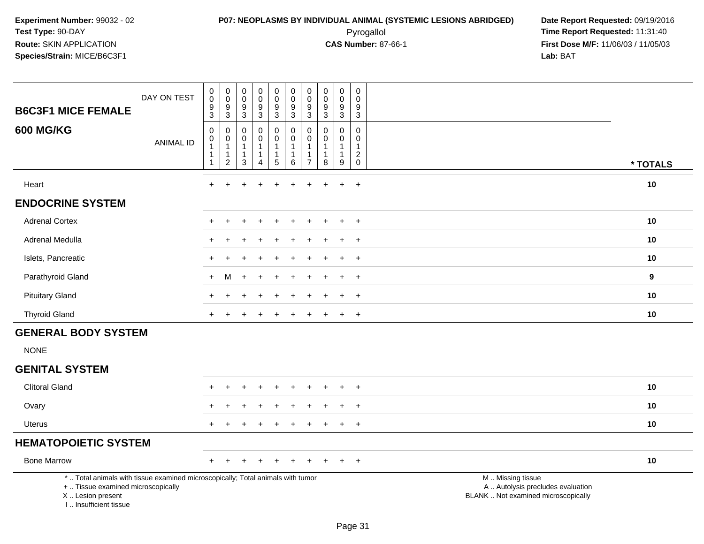# **P07: NEOPLASMS BY INDIVIDUAL ANIMAL (SYSTEMIC LESIONS ABRIDGED) Date Report Requested:** 09/19/2016 Pyrogallol **Time Report Requested:** 11:31:40

| <b>B6C3F1 MICE FEMALE</b>                                                                                                                                           | DAY ON TEST      | $\mathbf 0$<br>$\pmb{0}$<br>$\mathsf g$<br>$\ensuremath{\mathsf{3}}$ | $_{\rm 0}^{\rm 0}$<br>$\frac{9}{3}$                   | $\begin{smallmatrix} 0\\0 \end{smallmatrix}$<br>$\frac{9}{3}$    | $_{\rm 0}^{\rm 0}$<br>$\boldsymbol{9}$<br>$\mathbf{3}$                  | 0<br>$\overline{0}$<br>$\boldsymbol{9}$<br>$\overline{3}$          | $\mathbf 0$<br>$\ddot{\mathbf{0}}$<br>$\boldsymbol{9}$<br>$\overline{3}$ | 0<br>$\mathbf 0$<br>$\boldsymbol{9}$<br>3 | $\mathbf 0$<br>$\ddot{\mathbf{0}}$<br>$\boldsymbol{9}$<br>$\mathbf{3}$ | $\pmb{0}$<br>$\overline{0}$<br>$\boldsymbol{9}$<br>$\mathbf{3}$ | $\mathbf 0$<br>$\mathbf 0$<br>9<br>$\mathbf{3}$            |                                                                                               |          |
|---------------------------------------------------------------------------------------------------------------------------------------------------------------------|------------------|----------------------------------------------------------------------|-------------------------------------------------------|------------------------------------------------------------------|-------------------------------------------------------------------------|--------------------------------------------------------------------|--------------------------------------------------------------------------|-------------------------------------------|------------------------------------------------------------------------|-----------------------------------------------------------------|------------------------------------------------------------|-----------------------------------------------------------------------------------------------|----------|
| <b>600 MG/KG</b>                                                                                                                                                    | <b>ANIMAL ID</b> | $\mathsf 0$<br>0<br>$\mathbf{1}$<br>$\mathbf{1}$<br>$\mathbf{1}$     | 0<br>$\pmb{0}$<br>$\mathbf{1}$<br>1<br>$\overline{c}$ | $\mathbf 0$<br>0<br>$\overline{1}$<br>$\mathbf{1}$<br>$\sqrt{3}$ | $\pmb{0}$<br>$\mathsf{O}\xspace$<br>$\mathbf{1}$<br>1<br>$\overline{4}$ | 0<br>$\mathbf 0$<br>$\mathbf{1}$<br>$\mathbf{1}$<br>$\overline{5}$ | $\mathbf 0$<br>$\pmb{0}$<br>$\overline{1}$<br>$\mathbf{1}$<br>$\,6\,$    | 0<br>0<br>$\overline{7}$                  | $\mathbf 0$<br>0<br>$\overline{1}$<br>$\mathbf 1$<br>8                 | $\mathbf 0$<br>0<br>$\mathbf{1}$<br>1<br>$\boldsymbol{9}$       | $\mathbf 0$<br>$\mathbf 0$<br>$\mathbf{1}$<br>$^2_{\rm 0}$ |                                                                                               | * TOTALS |
| Heart                                                                                                                                                               |                  | $+$                                                                  | $\ddot{}$                                             |                                                                  | ÷                                                                       | +                                                                  | $\ddot{}$                                                                | $\ddot{}$                                 | $\ddot{}$                                                              | $\ddot{}$                                                       | $+$                                                        |                                                                                               | 10       |
| <b>ENDOCRINE SYSTEM</b>                                                                                                                                             |                  |                                                                      |                                                       |                                                                  |                                                                         |                                                                    |                                                                          |                                           |                                                                        |                                                                 |                                                            |                                                                                               |          |
| <b>Adrenal Cortex</b>                                                                                                                                               |                  |                                                                      |                                                       |                                                                  |                                                                         |                                                                    |                                                                          |                                           |                                                                        | $\div$                                                          | $\ddot{}$                                                  |                                                                                               | 10       |
| <b>Adrenal Medulla</b>                                                                                                                                              |                  |                                                                      |                                                       |                                                                  |                                                                         |                                                                    |                                                                          |                                           |                                                                        |                                                                 | $\ddot{}$                                                  |                                                                                               | 10       |
| Islets, Pancreatic                                                                                                                                                  |                  |                                                                      |                                                       |                                                                  |                                                                         |                                                                    |                                                                          |                                           |                                                                        | $\div$                                                          | $\overline{+}$                                             |                                                                                               | 10       |
| Parathyroid Gland                                                                                                                                                   |                  | $+$                                                                  | м                                                     |                                                                  |                                                                         |                                                                    |                                                                          |                                           |                                                                        |                                                                 | $+$                                                        |                                                                                               | 9        |
| <b>Pituitary Gland</b>                                                                                                                                              |                  |                                                                      |                                                       |                                                                  |                                                                         |                                                                    |                                                                          |                                           |                                                                        | $\div$                                                          | $\ddot{}$                                                  |                                                                                               | 10       |
| <b>Thyroid Gland</b>                                                                                                                                                |                  |                                                                      |                                                       |                                                                  |                                                                         |                                                                    |                                                                          |                                           |                                                                        |                                                                 | $+$                                                        |                                                                                               | 10       |
| <b>GENERAL BODY SYSTEM</b>                                                                                                                                          |                  |                                                                      |                                                       |                                                                  |                                                                         |                                                                    |                                                                          |                                           |                                                                        |                                                                 |                                                            |                                                                                               |          |
| <b>NONE</b>                                                                                                                                                         |                  |                                                                      |                                                       |                                                                  |                                                                         |                                                                    |                                                                          |                                           |                                                                        |                                                                 |                                                            |                                                                                               |          |
| <b>GENITAL SYSTEM</b>                                                                                                                                               |                  |                                                                      |                                                       |                                                                  |                                                                         |                                                                    |                                                                          |                                           |                                                                        |                                                                 |                                                            |                                                                                               |          |
| <b>Clitoral Gland</b>                                                                                                                                               |                  |                                                                      |                                                       |                                                                  | $\overline{1}$                                                          | $\ddot{}$                                                          |                                                                          |                                           |                                                                        | $\ddot{}$                                                       | $+$                                                        |                                                                                               | 10       |
| Ovary                                                                                                                                                               |                  |                                                                      |                                                       |                                                                  |                                                                         |                                                                    |                                                                          |                                           |                                                                        |                                                                 | $\overline{ }$                                             |                                                                                               | 10       |
| Uterus                                                                                                                                                              |                  |                                                                      |                                                       |                                                                  |                                                                         |                                                                    |                                                                          |                                           |                                                                        | $\div$                                                          | $+$                                                        |                                                                                               | 10       |
| <b>HEMATOPOIETIC SYSTEM</b>                                                                                                                                         |                  |                                                                      |                                                       |                                                                  |                                                                         |                                                                    |                                                                          |                                           |                                                                        |                                                                 |                                                            |                                                                                               |          |
| <b>Bone Marrow</b>                                                                                                                                                  |                  |                                                                      |                                                       |                                                                  |                                                                         |                                                                    |                                                                          |                                           |                                                                        | $\ddot{}$                                                       | $+$                                                        |                                                                                               | 10       |
| *  Total animals with tissue examined microscopically; Total animals with tumor<br>+  Tissue examined microscopically<br>X  Lesion present<br>I Insufficient tissue |                  |                                                                      |                                                       |                                                                  |                                                                         |                                                                    |                                                                          |                                           |                                                                        |                                                                 |                                                            | M  Missing tissue<br>A  Autolysis precludes evaluation<br>BLANK  Not examined microscopically |          |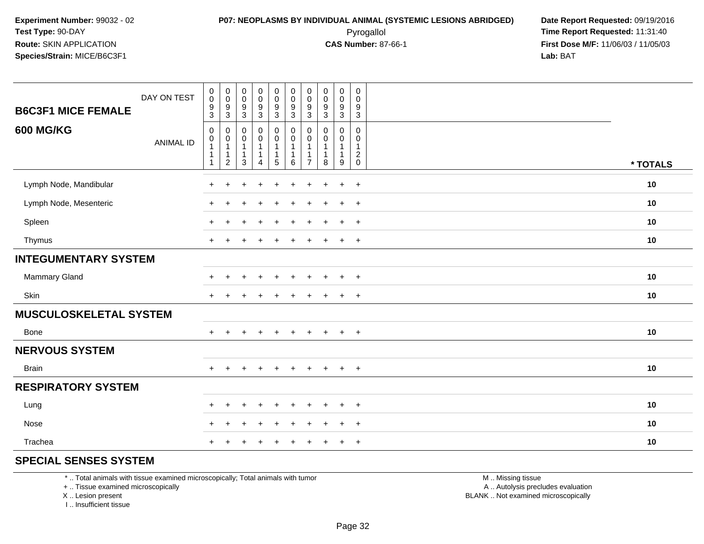### **P07: NEOPLASMS BY INDIVIDUAL ANIMAL (SYSTEMIC LESIONS ABRIDGED) Date Report Requested:** 09/19/2016 Pyrogallol **Time Report Requested:** 11:31:40

**First Dose M/F:** 11/06/03 / 11/05/03<br>Lab: BAT **Lab:** BAT

| <b>B6C3F1 MICE FEMALE</b>     | DAY ON TEST      | $\pmb{0}$<br>$\mathbf 0$<br>$\frac{9}{3}$                              | $\mathbf 0$<br>$\boldsymbol{0}$<br>$\boldsymbol{9}$<br>$\mathbf{3}$           | $\pmb{0}$<br>$\pmb{0}$<br>$\boldsymbol{9}$<br>$\mathbf{3}$            | $\begin{smallmatrix}0\0\0\end{smallmatrix}$<br>$\frac{9}{3}$                                 | $\mathbf 0$<br>$\mathsf{O}\xspace$<br>$\frac{9}{3}$ | $_{\rm 0}^{\rm 0}$<br>$\frac{9}{3}$                                      | $\pmb{0}$<br>$\mathbf 0$<br>$\boldsymbol{9}$<br>$\mathbf{3}$ | $\mathsf 0$<br>$\pmb{0}$<br>$\boldsymbol{9}$<br>$\mathfrak{S}$ | $\begin{smallmatrix}0\0\0\end{smallmatrix}$<br>$\boldsymbol{9}$<br>3            | $\mathsf{O}$<br>0<br>9<br>$\mathbf{3}$                         |          |
|-------------------------------|------------------|------------------------------------------------------------------------|-------------------------------------------------------------------------------|-----------------------------------------------------------------------|----------------------------------------------------------------------------------------------|-----------------------------------------------------|--------------------------------------------------------------------------|--------------------------------------------------------------|----------------------------------------------------------------|---------------------------------------------------------------------------------|----------------------------------------------------------------|----------|
| <b>600 MG/KG</b>              | <b>ANIMAL ID</b> | $\mathbf 0$<br>$\boldsymbol{0}$<br>$\mathbf{1}$<br>$\overline{1}$<br>1 | $\mathbf 0$<br>$\boldsymbol{0}$<br>$\mathbf{1}$<br>$\mathbf{1}$<br>$\sqrt{2}$ | $\pmb{0}$<br>$\pmb{0}$<br>$\mathbf{1}$<br>$\mathbf{1}$<br>$\mathsf 3$ | $\begin{smallmatrix}0\0\0\end{smallmatrix}$<br>$\mathbf{1}$<br>$\mathbf 1$<br>$\overline{4}$ | 0<br>$\mathbf 0$<br>$\mathbf{1}$<br>$5\phantom{.0}$ | $\pmb{0}$<br>$\overline{0}$<br>$\mathbf{1}$<br>$\overline{1}$<br>$\,6\,$ | 0<br>$\pmb{0}$<br>$\mathbf{1}$<br>1<br>$\overline{7}$        | $\mathbf 0$<br>$\pmb{0}$<br>$\mathbf{1}$<br>$\mathbf 1$<br>8   | $\mathsf{O}$<br>$\mathbf 0$<br>$\mathbf{1}$<br>$\mathbf{1}$<br>$\boldsymbol{9}$ | $\mathbf 0$<br>0<br>$\mathbf 1$<br>$\overline{c}$<br>$\pmb{0}$ | * TOTALS |
| Lymph Node, Mandibular        |                  | $\ddot{}$                                                              | $\ddot{}$                                                                     |                                                                       | $\ddot{}$                                                                                    | $\ddot{}$                                           | $\ddot{}$                                                                | $\ddot{}$                                                    | $\div$                                                         | $\ddot{}$                                                                       | $+$                                                            | 10       |
| Lymph Node, Mesenteric        |                  |                                                                        |                                                                               |                                                                       |                                                                                              | ÷                                                   |                                                                          | +                                                            |                                                                | $\overline{+}$                                                                  | $+$                                                            | 10       |
| Spleen                        |                  |                                                                        |                                                                               |                                                                       | $\overline{1}$                                                                               | ÷                                                   |                                                                          |                                                              |                                                                | $\overline{+}$                                                                  | $+$                                                            | 10       |
| Thymus                        |                  | $+$                                                                    |                                                                               |                                                                       |                                                                                              |                                                     |                                                                          |                                                              |                                                                | $+$                                                                             | $+$                                                            | 10       |
| <b>INTEGUMENTARY SYSTEM</b>   |                  |                                                                        |                                                                               |                                                                       |                                                                                              |                                                     |                                                                          |                                                              |                                                                |                                                                                 |                                                                |          |
| Mammary Gland                 |                  | $\div$                                                                 |                                                                               |                                                                       |                                                                                              |                                                     |                                                                          |                                                              |                                                                | $\ddot{}$                                                                       | $+$                                                            | 10       |
| Skin                          |                  | $\ddot{}$                                                              |                                                                               |                                                                       |                                                                                              |                                                     |                                                                          |                                                              |                                                                | $\ddot{}$                                                                       | $\overline{+}$                                                 | 10       |
| <b>MUSCULOSKELETAL SYSTEM</b> |                  |                                                                        |                                                                               |                                                                       |                                                                                              |                                                     |                                                                          |                                                              |                                                                |                                                                                 |                                                                |          |
| Bone                          |                  | $+$                                                                    | $\ddot{}$                                                                     | $\div$                                                                | $\ddot{}$                                                                                    | $\ddot{}$                                           | $+$                                                                      | $\ddot{}$                                                    | $\pm$                                                          | $+$                                                                             | $+$                                                            | 10       |
| <b>NERVOUS SYSTEM</b>         |                  |                                                                        |                                                                               |                                                                       |                                                                                              |                                                     |                                                                          |                                                              |                                                                |                                                                                 |                                                                |          |
| <b>Brain</b>                  |                  | $+$                                                                    | $\ddot{}$                                                                     |                                                                       | $\ddot{}$                                                                                    | $\ddot{}$                                           | $\ddot{}$                                                                | $\ddot{}$                                                    | $\ddot{}$                                                      | $+$                                                                             | $+$                                                            | $10$     |
| <b>RESPIRATORY SYSTEM</b>     |                  |                                                                        |                                                                               |                                                                       |                                                                                              |                                                     |                                                                          |                                                              |                                                                |                                                                                 |                                                                |          |
| Lung                          |                  | $\ddot{}$                                                              | $\ddot{}$                                                                     |                                                                       |                                                                                              |                                                     |                                                                          |                                                              |                                                                | $\ddot{}$                                                                       | $+$                                                            | 10       |
| Nose                          |                  |                                                                        | ÷                                                                             |                                                                       |                                                                                              |                                                     |                                                                          |                                                              |                                                                | $\ddot{}$                                                                       | $\overline{+}$                                                 | 10       |
| Trachea                       |                  |                                                                        |                                                                               |                                                                       |                                                                                              |                                                     |                                                                          |                                                              |                                                                | $\ddot{}$                                                                       | $+$                                                            | 10       |

### **SPECIAL SENSES SYSTEM**

\* .. Total animals with tissue examined microscopically; Total animals with tumor

+ .. Tissue examined microscopically

X .. Lesion present

I .. Insufficient tissue